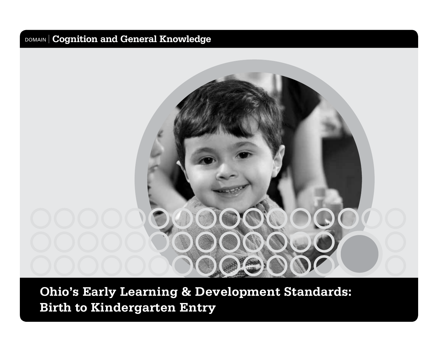

**Ohio's Early Learning & Development Standards: Birth to Kindergarten Entry**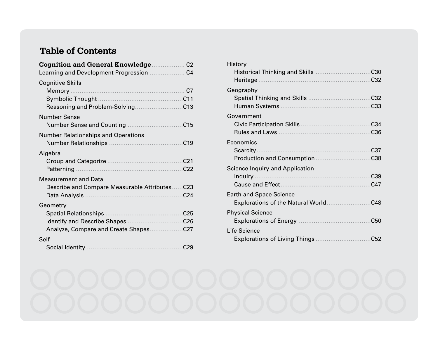### **Table of Contents**

| <b>Cognition and General Knowledge</b>      | C2              |
|---------------------------------------------|-----------------|
| Learning and Development Progression        | C <sub>4</sub>  |
| <b>Cognitive Skills</b>                     |                 |
| Memory.<br>.                                | C <sub>7</sub>  |
| Symbolic Thought                            | C11             |
| Reasoning and Problem-Solving.              | C13             |
| <b>Number Sense</b>                         |                 |
| <b>Number Sense and Counting</b>            | C <sub>15</sub> |
| <b>Number Relationships and Operations</b>  |                 |
| <b>Number Relationships</b>                 | C19             |
| Algebra                                     |                 |
| <b>Group and Categorize</b>                 | C <sub>21</sub> |
| Patterning                                  | C <sub>22</sub> |
| <b>Measurement and Data</b>                 |                 |
| Describe and Compare Measurable Attributes. | C <sub>23</sub> |
| Data Analysis                               | C <sub>24</sub> |
| Geometry                                    |                 |
| <b>Spatial Relationships</b><br>.           | C <sub>25</sub> |
| <b>Identify and Describe Shapes</b>         | C <sub>26</sub> |
| Analyze, Compare and Create Shapes.         | C <sub>27</sub> |
| Self                                        |                 |
| Social Identity                             | C <sub>29</sub> |

| History                                  |                 |
|------------------------------------------|-----------------|
| Historical Thinking and Skills           | C <sub>30</sub> |
| Heritage                                 | C <sub>32</sub> |
| Geography                                |                 |
|                                          | C <sub>32</sub> |
| <b>Human Systems</b>                     | C <sub>33</sub> |
| Government                               |                 |
| <b>Civic Participation Skills.</b>       | C <sub>34</sub> |
| <b>Rules and Laws.</b>                   | C36             |
| Economics                                |                 |
| Scarcity                                 | C <sub>37</sub> |
| <b>Production and Consumption.</b>       | C <sub>38</sub> |
| Science Inquiry and Application          |                 |
| Inquiry                                  | C39             |
| Cause and Effect                         | C <sub>47</sub> |
| <b>Earth and Space Science</b>           |                 |
| <b>Explorations of the Natural World</b> | C48             |
| <b>Physical Science</b>                  |                 |
|                                          | C50             |
| Life Science                             |                 |
| <b>Explorations of Living Things.</b>    | C <sub>52</sub> |

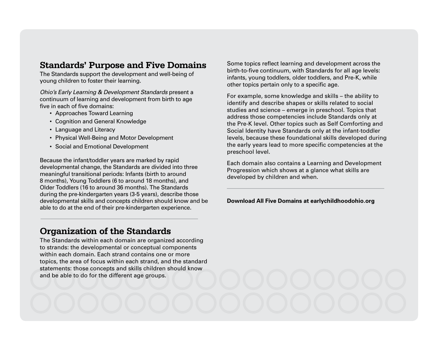#### **Standards' Purpose and Five Domains**

The Standards support the development and well-being of young children to foster their learning.

*Ohio's Early Learning & Development Standards* present a continuum of learning and development from birth to age five in each of five domains:

- Approaches Toward Learning
- Cognition and General Knowledge
- Language and Literacy
- Physical Well-Being and Motor Development
- Social and Emotional Development

Because the infant/toddler years are marked by rapid developmental change, the Standards are divided into three meaningful transitional periods: Infants (birth to around 8 months), Young Toddlers (6 to around 18 months), and Older Toddlers (16 to around 36 months). The Standards during the pre-kindergarten years (3-5 years), describe those developmental skills and concepts children should know and be able to do at the end of their pre-kindergarten experience.

Some topics reflect learning and development across the birth-to-five continuum, with Standards for all age levels: infants, young toddlers, older toddlers, and Pre-K, while other topics pertain only to a specific age.

For example, some knowledge and skills – the ability to identify and describe shapes or skills related to social studies and science – emerge in preschool. Topics that address those competencies include Standards only at the Pre-K level. Other topics such as Self Comforting and Social Identity have Standards only at the infant-toddler levels, because these foundational skills developed during the early years lead to more specific competencies at the preschool level.

Each domain also contains a Learning and Development Progression which shows at a glance what skills are developed by children and when.

#### **Download All Five Domains at earlychildhoodohio.org**

#### **Organization of the Standards**

The Standards within each domain are organized according to strands: the developmental or conceptual components within each domain. Each strand contains one or more topics, the area of focus within each strand, and the standard statements: those concepts and skills children should know and be able to do for the different age groups.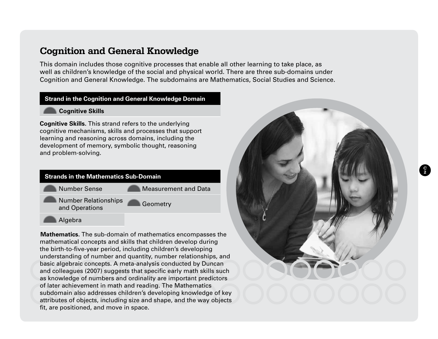#### **Cognition and General Knowledge**

This domain includes those cognitive processes that enable all other learning to take place, as well as children's knowledge of the social and physical world. There are three sub-domains under Cognition and General Knowledge. The subdomains are Mathematics, Social Studies and Science.

#### **Strand in the Cognition and General Knowledge Domain**

**Cognitive Skills** 

**Cognitive Skills.** This strand refers to the underlying cognitive mechanisms, skills and processes that support learning and reasoning across domains, including the development of memory, symbolic thought, reasoning and problem-solving.

| <b>Strands in the Mathematics Sub-Domain</b>  |                             |  |
|-----------------------------------------------|-----------------------------|--|
| <b>Number Sense</b>                           | <b>Measurement and Data</b> |  |
| <b>Number Relationships</b><br>and Operations | Geometry                    |  |
| Algebra                                       |                             |  |

**Mathematics.** The sub-domain of mathematics encompasses the mathematical concepts and skills that children develop during the birth-to-five-year period, including children's developing understanding of number and quantity, number relationships, and basic algebraic concepts. A meta-analysis conducted by Duncan and colleagues (2007) suggests that specific early math skills such as knowledge of numbers and ordinality are important predictors of later achievement in math and reading. The Mathematics subdomain also addresses children's developing knowledge of key attributes of objects, including size and shape, and the way objects fit, are positioned, and move in space.

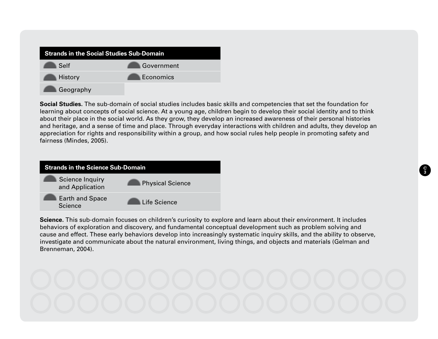| <b>Strands in the Social Studies Sub-Domain</b> |            |  |  |
|-------------------------------------------------|------------|--|--|
| Self                                            | Government |  |  |
| History                                         | Economics  |  |  |
| Geography                                       |            |  |  |

**Social Studies.** The sub-domain of social studies includes basic skills and competencies that set the foundation for learning about concepts of social science. At a young age, children begin to develop their social identity and to think about their place in the social world. As they grow, they develop an increased awareness of their personal histories and heritage, and a sense of time and place. Through everyday interactions with children and adults, they develop an appreciation for rights and responsibility within a group, and how social rules help people in promoting safety and fairness (Mindes, 2005).

**C 3**



**Science.** This sub-domain focuses on children's curiosity to explore and learn about their environment. It includes behaviors of exploration and discovery, and fundamental conceptual development such as problem solving and cause and effect. These early behaviors develop into increasingly systematic inquiry skills, and the ability to observe, investigate and communicate about the natural environment, living things, and objects and materials (Gelman and Brenneman, 2004).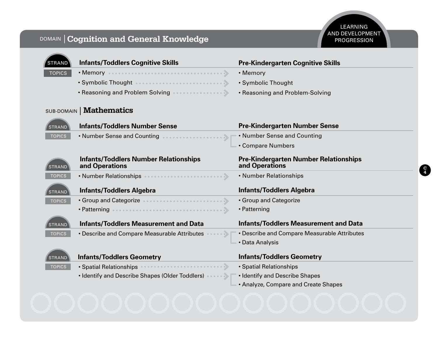#### LEARNING AND DEVELOPMENT PROGRESSION

| <b>STRAND</b> | <b>Infants/Toddlers Cognitive Skills</b>                       | <b>Pre-Kindergarten Cognitive Skills</b>                       |
|---------------|----------------------------------------------------------------|----------------------------------------------------------------|
| <b>TOPICS</b> |                                                                | • Memory                                                       |
|               |                                                                | • Symbolic Thought                                             |
|               | • Reasoning and Problem Solving <b>Constitution</b>            | • Reasoning and Problem-Solving                                |
|               | SUB-DOMAIN   Mathematics                                       |                                                                |
| <b>STRAND</b> | <b>Infants/Toddlers Number Sense</b>                           | <b>Pre-Kindergarten Number Sense</b>                           |
| <b>TOPICS</b> |                                                                | • Number Sense and Counting                                    |
|               |                                                                | • Compare Numbers                                              |
| <b>STRAND</b> | <b>Infants/Toddlers Number Relationships</b><br>and Operations | <b>Pre-Kindergarten Number Relationships</b><br>and Operations |
| <b>TOPICS</b> |                                                                | • Number Relationships                                         |
| <b>STRAND</b> | <b>Infants/Toddlers Algebra</b>                                | <b>Infants/Toddlers Algebra</b>                                |
| <b>TOPICS</b> |                                                                | • Group and Categorize                                         |
|               | • Patterning ……………………………………………>                                | • Patterning                                                   |
| <b>STRAND</b> | <b>Infants/Toddlers Measurement and Data</b>                   | <b>Infants/Toddlers Measurement and Data</b>                   |
|               |                                                                |                                                                |
| <b>TOPICS</b> | • Describe and Compare Measurable Attributes                   | • Describe and Compare Measurable Attributes                   |
|               |                                                                | • Data Analysis                                                |
| <b>STRAND</b> | <b>Infants/Toddlers Geometry</b>                               | <b>Infants/Toddlers Geometry</b>                               |
| <b>TOPICS</b> |                                                                | • Spatial Relationships                                        |
|               | • Identify and Describe Shapes (Older Toddlers)                | • Identify and Describe Shapes                                 |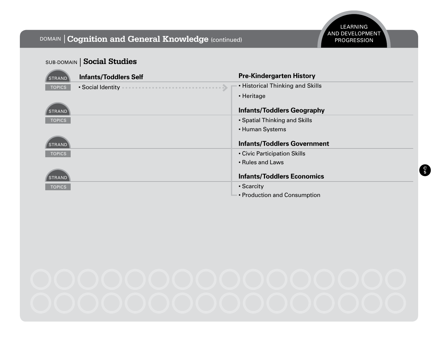#### DOMAIN | Cognition and General Knowledge (continued)

SUB-DOMAIN **Social Studies**

| <b>STRAND</b> | <b>Infants/Toddlers Self</b> | <b>Pre-Kindergarten History</b>    |
|---------------|------------------------------|------------------------------------|
| <b>TOPICS</b> | • Social Identity            | • Historical Thinking and Skills   |
|               |                              | • Heritage                         |
| <b>STRAND</b> |                              | <b>Infants/Toddlers Geography</b>  |
| <b>TOPICS</b> |                              | • Spatial Thinking and Skills      |
|               |                              | • Human Systems                    |
| <b>STRAND</b> |                              | <b>Infants/Toddlers Government</b> |
| <b>TOPICS</b> |                              | • Civic Participation Skills       |
|               |                              | • Rules and Laws                   |
| <b>STRAND</b> |                              | <b>Infants/Toddlers Economics</b>  |
| <b>TOPICS</b> |                              | • Scarcity                         |
|               |                              | • Production and Consumption       |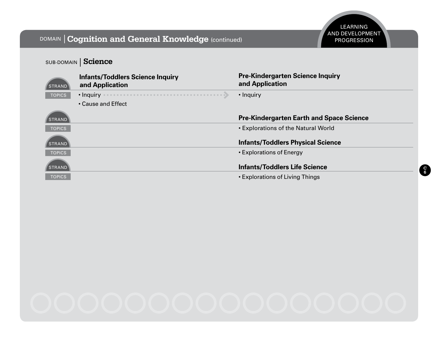#### DOMAIN | Cognition and General Knowledge (continued)

#### LEARNING AND DEVELOPMENT PROGRESSION

**C 6**

#### SUB-DOMAIN **Science**

| STRAND               | <b>Infants/Toddlers Science Inquiry</b><br>and Application | <b>Pre-Kindergarten Science Inquiry</b><br>and Application |
|----------------------|------------------------------------------------------------|------------------------------------------------------------|
| <b>TOPICS</b>        | • Inquiry                                                  | • Inquiry                                                  |
|                      | • Cause and Effect                                         |                                                            |
| STRAND               |                                                            | <b>Pre-Kindergarten Earth and Space Science</b>            |
| <b>TOPICS</b>        |                                                            | • Explorations of the Natural World                        |
| <i><b>STRAND</b></i> |                                                            | <b>Infants/Toddlers Physical Science</b>                   |
| <b>TOPICS</b>        |                                                            | • Explorations of Energy                                   |
| STRAND <sup>'</sup>  |                                                            | <b>Infants/Toddlers Life Science</b>                       |
| <b>TOPICS</b>        |                                                            | • Explorations of Living Things                            |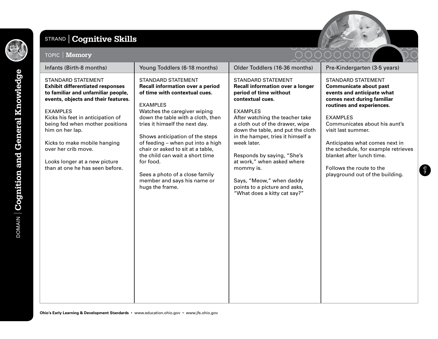

**DOMAIN** Cognition and General Knowledge

# STRAND **Cognitive Skills**

#### TOPIC **Memory**



| Infants (Birth-8 months)                                                                                                                                                                                  | Young Toddlers (6-18 months)                                                                                                                                                           | Older Toddlers (16-36 months)                                                                                                                                            | Pre-Kindergarten (3-5 years)                                                                                                                                           |
|-----------------------------------------------------------------------------------------------------------------------------------------------------------------------------------------------------------|----------------------------------------------------------------------------------------------------------------------------------------------------------------------------------------|--------------------------------------------------------------------------------------------------------------------------------------------------------------------------|------------------------------------------------------------------------------------------------------------------------------------------------------------------------|
| <b>STANDARD STATEMENT</b><br><b>Exhibit differentiated responses</b><br>to familiar and unfamiliar people,<br>events, objects and their features.<br><b>EXAMPLES</b><br>Kicks his feet in anticipation of | <b>STANDARD STATEMENT</b><br>Recall information over a period<br>of time with contextual cues.<br><b>EXAMPLES</b><br>Watches the caregiver wiping<br>down the table with a cloth, then | <b>STANDARD STATEMENT</b><br><b>Recall information over a longer</b><br>period of time without<br>contextual cues.<br><b>EXAMPLES</b><br>After watching the teacher take | <b>STANDARD STATEMENT</b><br><b>Communicate about past</b><br>events and anticipate what<br>comes next during familiar<br>routines and experiences.<br><b>EXAMPLES</b> |
| being fed when mother positions<br>him on her lap.                                                                                                                                                        | tries it himself the next day.<br>Shows anticipation of the steps                                                                                                                      | a cloth out of the drawer, wipe<br>down the table, and put the cloth<br>in the hamper, tries it himself a                                                                | Communicates about his aunt's<br>visit last summer.                                                                                                                    |
| Kicks to make mobile hanging<br>over her crib move.                                                                                                                                                       | of feeding - when put into a high<br>chair or asked to sit at a table,<br>the child can wait a short time                                                                              | week later.<br>Responds by saying, "She's                                                                                                                                | Anticipates what comes next in<br>the schedule, for example retrieves<br>blanket after lunch time.                                                                     |
| Looks longer at a new picture<br>than at one he has seen before.                                                                                                                                          | for food.<br>Sees a photo of a close family<br>member and says his name or<br>hugs the frame.                                                                                          | at work," when asked where<br>mommy is.<br>Says, "Meow," when daddy<br>points to a picture and asks,<br>"What does a kitty cat say?"                                     | Follows the route to the<br>playground out of the building.                                                                                                            |
|                                                                                                                                                                                                           |                                                                                                                                                                                        |                                                                                                                                                                          |                                                                                                                                                                        |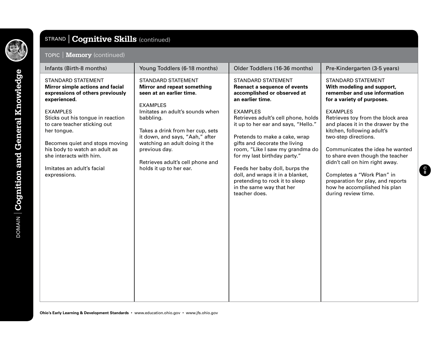

### STRAND **Cognitive Skills** (continued)

#### TOPIC **Memory** (continued)

| Infants (Birth-8 months)                                                                                                                                                                                                                                                                                                                                             | Young Toddlers (6-18 months)                                                                                                                                                                                                                                                                                                                            | Older Toddlers (16-36 months)                                                                                                                                                                                                                                                                                                                                                                                                                                                                                  | Pre-Kindergarten (3-5 years)                                                                                                                                                                                                                                                                                                                                                                                                                                                                                 |
|----------------------------------------------------------------------------------------------------------------------------------------------------------------------------------------------------------------------------------------------------------------------------------------------------------------------------------------------------------------------|---------------------------------------------------------------------------------------------------------------------------------------------------------------------------------------------------------------------------------------------------------------------------------------------------------------------------------------------------------|----------------------------------------------------------------------------------------------------------------------------------------------------------------------------------------------------------------------------------------------------------------------------------------------------------------------------------------------------------------------------------------------------------------------------------------------------------------------------------------------------------------|--------------------------------------------------------------------------------------------------------------------------------------------------------------------------------------------------------------------------------------------------------------------------------------------------------------------------------------------------------------------------------------------------------------------------------------------------------------------------------------------------------------|
| <b>STANDARD STATEMENT</b><br>Mirror simple actions and facial<br>expressions of others previously<br>experienced.<br><b>EXAMPLES</b><br>Sticks out his tongue in reaction<br>to care teacher sticking out<br>her tongue.<br>Becomes quiet and stops moving<br>his body to watch an adult as<br>she interacts with him.<br>Imitates an adult's facial<br>expressions. | <b>STANDARD STATEMENT</b><br><b>Mirror and repeat something</b><br>seen at an earlier time.<br><b>EXAMPLES</b><br>Imitates an adult's sounds when<br>babbling.<br>Takes a drink from her cup, sets<br>it down, and says, "Aah," after<br>watching an adult doing it the<br>previous day.<br>Retrieves adult's cell phone and<br>holds it up to her ear. | <b>STANDARD STATEMENT</b><br><b>Reenact a sequence of events</b><br>accomplished or observed at<br>an earlier time.<br><b>EXAMPLES</b><br>Retrieves adult's cell phone, holds<br>it up to her ear and says, "Hello."<br>Pretends to make a cake, wrap<br>gifts and decorate the living<br>room, "Like I saw my grandma do<br>for my last birthday party."<br>Feeds her baby doll, burps the<br>doll, and wraps it in a blanket,<br>pretending to rock it to sleep<br>in the same way that her<br>teacher does. | <b>STANDARD STATEMENT</b><br>With modeling and support,<br>remember and use information<br>for a variety of purposes.<br><b>EXAMPLES</b><br>Retrieves toy from the block area<br>and places it in the drawer by the<br>kitchen, following adult's<br>two-step directions.<br>Communicates the idea he wanted<br>to share even though the teacher<br>didn't call on him right away.<br>Completes a "Work Plan" in<br>preparation for play, and reports<br>how he accomplished his plan<br>during review time. |
|                                                                                                                                                                                                                                                                                                                                                                      |                                                                                                                                                                                                                                                                                                                                                         |                                                                                                                                                                                                                                                                                                                                                                                                                                                                                                                |                                                                                                                                                                                                                                                                                                                                                                                                                                                                                                              |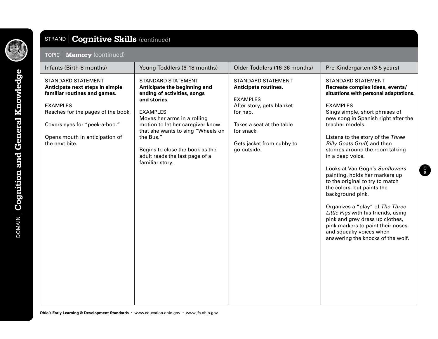

Cognition and

**DOMAIN** 

**General Knowledge** 

#### STRAND **Cognitive Skills** (continued) TOPIC **Memory** (continued) Infants (Birth-8 months) Young Toddlers (6-18 months) Older Toddlers (16-36 months) Pre-Kindergarten (3-5 years) STANDARD STATEMENT **Anticipate next steps in simple familiar routines and games.** EXAMPLES Reaches for the pages of the book. Covers eyes for "peek-a-boo." Opens mouth in anticipation of the next bite. STANDARD STATEMENT **Anticipate the beginning and ending of activities, songs and stories.** EXAMPLES Moves her arms in a rolling motion to let her caregiver know that she wants to sing "Wheels on the Bus." Begins to close the book as the adult reads the last page of a familiar story. STANDARD STATEMENT **Anticipate routines.** EXAMPLES After story, gets blanket for nap. Takes a seat at the table for snack. Gets jacket from cubby to go outside. STANDARD STATEMENT **Recreate complex ideas, events/ situations with personal adaptations.** EXAMPLES Sings simple, short phrases of new song in Spanish right after the teacher models. Listens to the story of the Three Billy Goats Gruff, and then stomps around the room talking in a deep voice. Looks at Van Gogh's *Sunflowers* painting, holds her markers up to the original to try to match the colors, but paints the background pink. Organizes a "play" of The Three Little Pigs with his friends, using pink and grey dress up clothes, pink markers to paint their noses, and squeaky voices when answering the knocks of the wolf.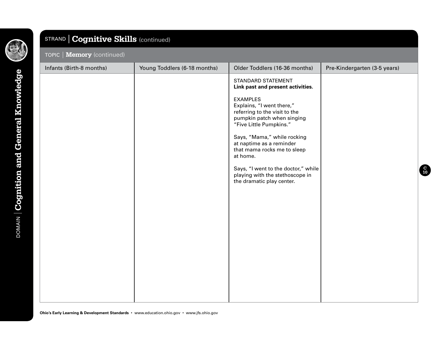

# STRAND **Cognitive Skills** (continued) TOPIC **Memory** (continued) Infants (Birth-8 months) Young Toddlers (6-18 months) Older Toddlers (16-36 months) Pre-Kindergarten (3-5 years) STANDARD STATEMENT **Link past and present activities.** EXAMPLES Explains, "I went there," referring to the visit to the pumpkin patch when singing "Five Little Pumpkins." Says, "Mama," while rocking at naptime as a reminder that mama rocks me to sleep at home. Says, "I went to the doctor," while playing with the stethoscope in the dramatic play center.

**C 10**

**Ohio's Early Learning & Development Standards** • www.education.ohio.gov • www.jfs.ohio.gov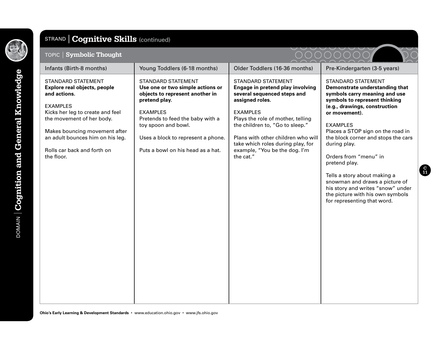

| TOPIC   Symbolic Thought                                                                                                                                                                                                                                                                                                                                                                                                                                                                                                                                                                                                                                                                                                                                                                                                                                                                                    |                                                                                                                                                                                                                                                                                                                                                                                                                                                                                                                    |
|-------------------------------------------------------------------------------------------------------------------------------------------------------------------------------------------------------------------------------------------------------------------------------------------------------------------------------------------------------------------------------------------------------------------------------------------------------------------------------------------------------------------------------------------------------------------------------------------------------------------------------------------------------------------------------------------------------------------------------------------------------------------------------------------------------------------------------------------------------------------------------------------------------------|--------------------------------------------------------------------------------------------------------------------------------------------------------------------------------------------------------------------------------------------------------------------------------------------------------------------------------------------------------------------------------------------------------------------------------------------------------------------------------------------------------------------|
| Infants (Birth-8 months)<br>Older Toddlers (16-36 months)<br>Young Toddlers (6-18 months)                                                                                                                                                                                                                                                                                                                                                                                                                                                                                                                                                                                                                                                                                                                                                                                                                   | Pre-Kindergarten (3-5 years)                                                                                                                                                                                                                                                                                                                                                                                                                                                                                       |
| <b>STANDARD STATEMENT</b><br><b>STANDARD STATEMENT</b><br><b>STANDARD STATEMENT</b><br><b>Explore real objects, people</b><br>Use one or two simple actions or<br>Engage in pretend play involving<br>and actions.<br>objects to represent another in<br>several sequenced steps and<br>assigned roles.<br>pretend play.<br><b>EXAMPLES</b><br><b>EXAMPLES</b><br>Kicks her leg to create and feel<br><b>EXAMPLES</b><br>the movement of her body.<br>Plays the role of mother, telling<br>Pretends to feed the baby with a<br>the children to, "Go to sleep."<br>toy spoon and bowl.<br>Makes bouncing movement after<br>Plans with other children who will<br>an adult bounces him on his leg.<br>Uses a block to represent a phone.<br>take which roles during play, for<br>Rolls car back and forth on<br>Puts a bowl on his head as a hat.<br>example, "You be the dog. I'm<br>the floor.<br>the cat." | <b>STANDARD STATEMENT</b><br>Demonstrate understanding that<br>symbols carry meaning and use<br>symbols to represent thinking<br>(e.g., drawings, construction<br>or movement).<br><b>EXAMPLES</b><br>Places a STOP sign on the road in<br>the block corner and stops the cars<br>during play.<br>Orders from "menu" in<br>pretend play.<br>Tells a story about making a<br>snowman and draws a picture of<br>his story and writes "snow" under<br>the picture with his own symbols<br>for representing that word. |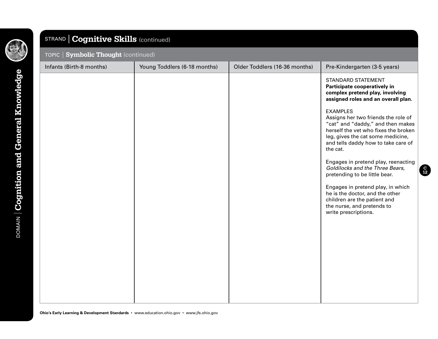| ı |  |
|---|--|
|   |  |
|   |  |
|   |  |
|   |  |

**DOMAIN** Cognition and General Knowledge DOMAIN **Cognition and General Knowledge**

| <b>Cognitive Skills (continued)</b><br><b>STRAND</b> |                              |                               |                                                                                                                                                                                                                                                                                                                                                                                                                                                                                                                                                                                                                                             |  |
|------------------------------------------------------|------------------------------|-------------------------------|---------------------------------------------------------------------------------------------------------------------------------------------------------------------------------------------------------------------------------------------------------------------------------------------------------------------------------------------------------------------------------------------------------------------------------------------------------------------------------------------------------------------------------------------------------------------------------------------------------------------------------------------|--|
| TOPIC   Symbolic Thought (continued)                 |                              |                               |                                                                                                                                                                                                                                                                                                                                                                                                                                                                                                                                                                                                                                             |  |
| Infants (Birth-8 months)                             | Young Toddlers (6-18 months) | Older Toddlers (16-36 months) | Pre-Kindergarten (3-5 years)                                                                                                                                                                                                                                                                                                                                                                                                                                                                                                                                                                                                                |  |
|                                                      |                              |                               | <b>STANDARD STATEMENT</b><br>Participate cooperatively in<br>complex pretend play, involving<br>assigned roles and an overall plan.<br><b>EXAMPLES</b><br>Assigns her two friends the role of<br>"cat" and "daddy," and then makes<br>herself the vet who fixes the broken<br>leg, gives the cat some medicine,<br>and tells daddy how to take care of<br>the cat.<br>Engages in pretend play, reenacting<br>Goldilocks and the Three Bears,<br>pretending to be little bear.<br>Engages in pretend play, in which<br>he is the doctor, and the other<br>children are the patient and<br>the nurse, and pretends to<br>write prescriptions. |  |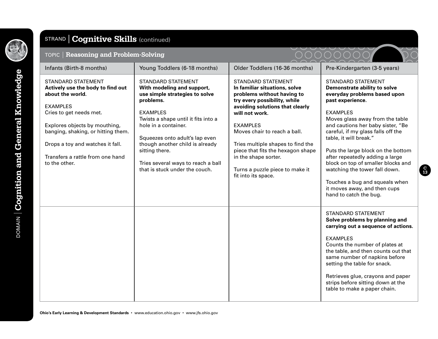

#### STRAND **Cognitive Skills** (continued) TOPIC **Reasoning and Problem-Solving** Infants (Birth-8 months) Young Toddlers (6-18 months) Older Toddlers (16-36 months) Pre-Kindergarten (3-5 years) STANDARD STATEMENT **Actively use the body to find out about the world.** EXAMPLES Cries to get needs met. Explores objects by mouthing, banging, shaking, or hitting them. Drops a toy and watches it fall. Transfers a rattle from one hand to the other. STANDARD STATEMENT **With modeling and support, use simple strategies to solve problems.** EXAMPLES Twists a shape until it fits into a hole in a container. Squeezes onto adult's lap even though another child is already sitting there. Tries several ways to reach a ball that is stuck under the couch. STANDARD STATEMENT **In familiar situations, solve problems without having to try every possibility, while avoiding solutions that clearly will not work.** EXAMPLES Moves chair to reach a ball. Tries multiple shapes to find the piece that fits the hexagon shape in the shape sorter. Turns a puzzle piece to make it fit into its space. STANDARD STATEMENT **Demonstrate ability to solve everyday problems based upon past experience.** EXAMPLES Moves glass away from the table and cautions her baby sister, "Be careful, if my glass falls off the table, it will break." Puts the large block on the bottom after repeatedly adding a large block on top of smaller blocks and watching the tower fall down. Touches a bug and squeals when it moves away, and then cups hand to catch the bug. STANDARD STATEMENT **Solve problems by planning and carrying out a sequence of actions.** EXAMPLES Counts the number of plates at the table, and then counts out that same number of napkins before setting the table for snack. Retrieves glue, crayons and paper strips before sitting down at the table to make a paper chain.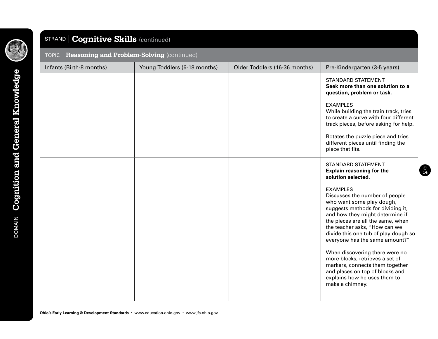

# STRAND **Cognitive Skills** (continued)

#### TOPIC **Reasoning and Problem-Solving** (continued)

| Infants (Birth-8 months) | Young Toddlers (6-18 months) | Older Toddlers (16-36 months) | Pre-Kindergarten (3-5 years)                                                                                                                                                                                                                                                                                                                                                                                                                                                                         |
|--------------------------|------------------------------|-------------------------------|------------------------------------------------------------------------------------------------------------------------------------------------------------------------------------------------------------------------------------------------------------------------------------------------------------------------------------------------------------------------------------------------------------------------------------------------------------------------------------------------------|
|                          |                              |                               | <b>STANDARD STATEMENT</b><br>Seek more than one solution to a<br>question, problem or task.                                                                                                                                                                                                                                                                                                                                                                                                          |
|                          |                              |                               | <b>EXAMPLES</b><br>While building the train track, tries<br>to create a curve with four different<br>track pieces, before asking for help.                                                                                                                                                                                                                                                                                                                                                           |
|                          |                              |                               | Rotates the puzzle piece and tries<br>different pieces until finding the<br>piece that fits.                                                                                                                                                                                                                                                                                                                                                                                                         |
|                          |                              |                               | <b>STANDARD STATEMENT</b><br><b>Explain reasoning for the</b><br>solution selected.                                                                                                                                                                                                                                                                                                                                                                                                                  |
|                          |                              |                               | <b>EXAMPLES</b><br>Discusses the number of people<br>who want some play dough,<br>suggests methods for dividing it,<br>and how they might determine if<br>the pieces are all the same, when<br>the teacher asks, "How can we<br>divide this one tub of play dough so<br>everyone has the same amount?"<br>When discovering there were no<br>more blocks, retrieves a set of<br>markers, connects them together<br>and places on top of blocks and<br>explains how he uses them to<br>make a chimney. |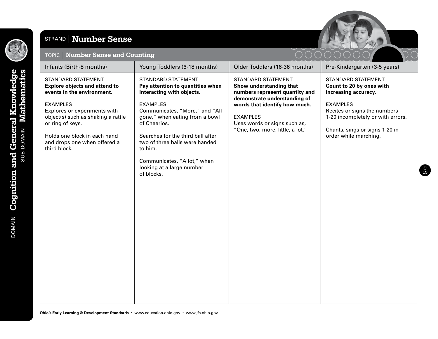

#### STRAND **Number Sense**



**C 15**

| TOPIC   Number Sense and Counting                                                                                                                                                                                                                                                            |                                                                                                                                                                                                                                                                                                                                                               | OOOOO                                                                                                                                                                                                                                          |                                                                                                                                                                                                                                  |
|----------------------------------------------------------------------------------------------------------------------------------------------------------------------------------------------------------------------------------------------------------------------------------------------|---------------------------------------------------------------------------------------------------------------------------------------------------------------------------------------------------------------------------------------------------------------------------------------------------------------------------------------------------------------|------------------------------------------------------------------------------------------------------------------------------------------------------------------------------------------------------------------------------------------------|----------------------------------------------------------------------------------------------------------------------------------------------------------------------------------------------------------------------------------|
| Infants (Birth-8 months)                                                                                                                                                                                                                                                                     | Young Toddlers (6-18 months)                                                                                                                                                                                                                                                                                                                                  | Older Toddlers (16-36 months)                                                                                                                                                                                                                  | Pre-Kindergarten (3-5 years)                                                                                                                                                                                                     |
| <b>STANDARD STATEMENT</b><br><b>Explore objects and attend to</b><br>events in the environment.<br><b>EXAMPLES</b><br>Explores or experiments with<br>object(s) such as shaking a rattle<br>or ring of keys.<br>Holds one block in each hand<br>and drops one when offered a<br>third block. | <b>STANDARD STATEMENT</b><br>Pay attention to quantities when<br>interacting with objects.<br><b>EXAMPLES</b><br>Communicates, "More," and "All<br>gone," when eating from a bowl<br>of Cheerios.<br>Searches for the third ball after<br>two of three balls were handed<br>to him.<br>Communicates, "A lot," when<br>looking at a large number<br>of blocks. | <b>STANDARD STATEMENT</b><br>Show understanding that<br>numbers represent quantity and<br>demonstrate understanding of<br>words that identify how much.<br><b>EXAMPLES</b><br>Uses words or signs such as,<br>"One, two, more, little, a lot." | <b>STANDARD STATEMENT</b><br>Count to 20 by ones with<br>increasing accuracy.<br><b>EXAMPLES</b><br>Recites or signs the numbers<br>1-20 incompletely or with errors.<br>Chants, sings or signs 1-20 in<br>order while marching. |

**Ohio's Early Learning & Development Standards** • www.education.ohio.gov • www.jfs.ohio.gov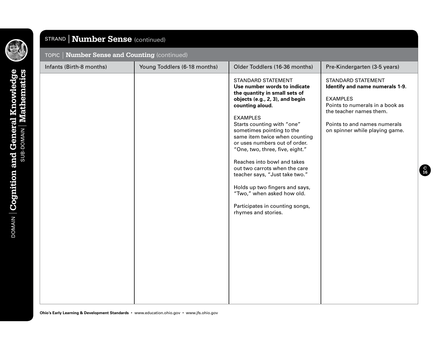

SUB-DOMAIN | Mathematics

DOMAIN **Cognition and General Knowledge**

**DOMAIN | Cognition and General Knowledge** 

# STRAND **Number Sense** (continued)

| TOPIC   Number Sense and Counting (continued) |                              |                                                                                                                                                                                                                                                                                                                                                                                                                                                                                                                                                                 |                                                                                                                                                                                                                 |  |
|-----------------------------------------------|------------------------------|-----------------------------------------------------------------------------------------------------------------------------------------------------------------------------------------------------------------------------------------------------------------------------------------------------------------------------------------------------------------------------------------------------------------------------------------------------------------------------------------------------------------------------------------------------------------|-----------------------------------------------------------------------------------------------------------------------------------------------------------------------------------------------------------------|--|
| Infants (Birth-8 months)                      | Young Toddlers (6-18 months) | Older Toddlers (16-36 months)                                                                                                                                                                                                                                                                                                                                                                                                                                                                                                                                   | Pre-Kindergarten (3-5 years)                                                                                                                                                                                    |  |
|                                               |                              | <b>STANDARD STATEMENT</b><br>Use number words to indicate<br>the quantity in small sets of<br>objects (e.g., 2, 3), and begin<br>counting aloud.<br><b>EXAMPLES</b><br>Starts counting with "one"<br>sometimes pointing to the<br>same item twice when counting<br>or uses numbers out of order.<br>"One, two, three, five, eight."<br>Reaches into bowl and takes<br>out two carrots when the care<br>teacher says, "Just take two."<br>Holds up two fingers and says,<br>"Two," when asked how old.<br>Participates in counting songs,<br>rhymes and stories. | <b>STANDARD STATEMENT</b><br>Identify and name numerals 1-9.<br><b>EXAMPLES</b><br>Points to numerals in a book as<br>the teacher names them.<br>Points to and names numerals<br>on spinner while playing game. |  |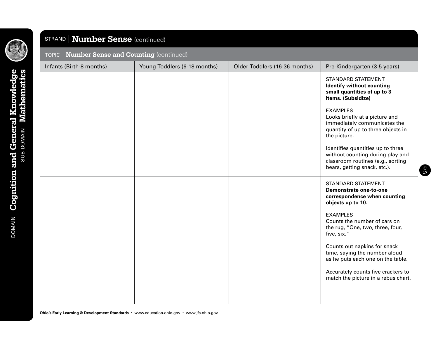

DOMAIN **Cognition and General Knowledge**

# STRAND | **Number Sense** (continued)

#### TOPIC **Number Sense and Counting** (continued)

| Infants (Birth-8 months) | Young Toddlers (6-18 months) | Older Toddlers (16-36 months) | Pre-Kindergarten (3-5 years)                                                                                                               |
|--------------------------|------------------------------|-------------------------------|--------------------------------------------------------------------------------------------------------------------------------------------|
|                          |                              |                               | STANDARD STATEMENT<br>Identify without counting<br>small quantities of up to 3<br>items. (Subsidize)                                       |
|                          |                              |                               | <b>EXAMPLES</b><br>Looks briefly at a picture and<br>immediately communicates the<br>quantity of up to three objects in<br>the picture.    |
|                          |                              |                               | Identifies quantities up to three<br>without counting during play and<br>classroom routines (e.g., sorting<br>bears, getting snack, etc.). |
|                          |                              |                               | STANDARD STATEMENT<br><b>Demonstrate one-to-one</b><br>correspondence when counting<br>objects up to 10.                                   |
|                          |                              |                               | <b>EXAMPLES</b><br>Counts the number of cars on<br>the rug, "One, two, three, four,<br>five, six."                                         |
|                          |                              |                               | Counts out napkins for snack<br>time, saying the number aloud<br>as he puts each one on the table.                                         |
|                          |                              |                               | Accurately counts five crackers to<br>match the picture in a rebus chart.                                                                  |
|                          |                              |                               |                                                                                                                                            |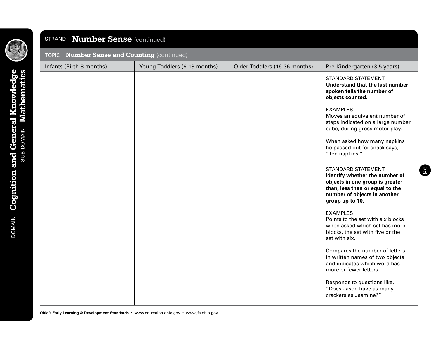

DOMAIN **Cognition and General Knowledge**

# STRAND | **Number Sense** (continued)

#### TOPIC **Number Sense and Counting** (continued)

| Infants (Birth-8 months) | Young Toddlers (6-18 months) | Older Toddlers (16-36 months) | Pre-Kindergarten (3-5 years)                                                                                                                                                                                                                                                                                                |
|--------------------------|------------------------------|-------------------------------|-----------------------------------------------------------------------------------------------------------------------------------------------------------------------------------------------------------------------------------------------------------------------------------------------------------------------------|
|                          |                              |                               | <b>STANDARD STATEMENT</b><br>Understand that the last number<br>spoken tells the number of<br>objects counted.<br><b>EXAMPLES</b><br>Moves an equivalent number of<br>steps indicated on a large number<br>cube, during gross motor play.<br>When asked how many napkins<br>he passed out for snack says,<br>"Ten napkins." |
|                          |                              |                               | <b>STANDARD STATEMENT</b><br>Identify whether the number of<br>objects in one group is greater<br>than, less than or equal to the<br>number of objects in another<br>group up to 10.                                                                                                                                        |
|                          |                              |                               | <b>EXAMPLES</b><br>Points to the set with six blocks<br>when asked which set has more<br>blocks, the set with five or the<br>set with six.                                                                                                                                                                                  |
|                          |                              |                               | Compares the number of letters<br>in written names of two objects<br>and indicates which word has<br>more or fewer letters.                                                                                                                                                                                                 |
|                          |                              |                               | Responds to questions like,<br>"Does Jason have as many<br>crackers as Jasmine?"                                                                                                                                                                                                                                            |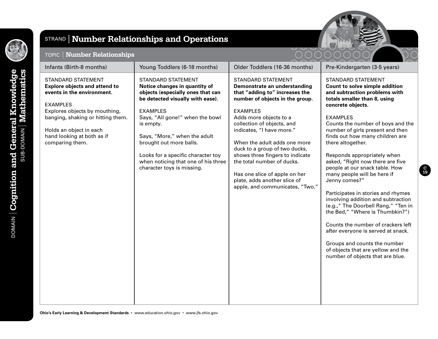

**DOMAIN Cognition and General Knowledge** 

### STRAND **Number Relationships and Operations**

TOPIC **Number Relationships**



| Infants (Birth-8 months)                                                                                           | Young Toddlers (6-18 months)                                                                                                        | Older Toddlers (16-36 months)                                                                                                  | Pre-Kindergarten (3-5 years)                                                                                                                       |
|--------------------------------------------------------------------------------------------------------------------|-------------------------------------------------------------------------------------------------------------------------------------|--------------------------------------------------------------------------------------------------------------------------------|----------------------------------------------------------------------------------------------------------------------------------------------------|
| <b>STANDARD STATEMENT</b><br><b>Explore objects and attend to</b><br>events in the environment.<br><b>EXAMPLES</b> | <b>STANDARD STATEMENT</b><br>Notice changes in quantity of<br>objects (especially ones that can<br>be detected visually with ease). | <b>STANDARD STATEMENT</b><br>Demonstrate an understanding<br>that "adding to" increases the<br>number of objects in the group. | <b>STANDARD STATEMENT</b><br>Count to solve simple addition<br>and subtraction problems with<br>totals smaller than 8, using<br>concrete objects.  |
| Explores objects by mouthing,<br>banging, shaking or hitting them.                                                 | <b>EXAMPLES</b><br>Says, "All gone!" when the bowl                                                                                  | <b>EXAMPLES</b><br>Adds more objects to a                                                                                      | <b>EXAMPLES</b>                                                                                                                                    |
|                                                                                                                    | is empty.                                                                                                                           | collection of objects, and                                                                                                     | Counts the number of boys and the                                                                                                                  |
| Holds an object in each<br>hand looking at both as if                                                              | Says, "More," when the adult                                                                                                        | indicates, "I have more."                                                                                                      | number of girls present and then<br>finds out how many children are                                                                                |
| comparing them.                                                                                                    | brought out more balls.                                                                                                             | When the adult adds one more<br>duck to a group of two ducks,                                                                  | there altogether.                                                                                                                                  |
|                                                                                                                    | Looks for a specific character toy<br>when noticing that one of his three<br>character toys is missing.                             | shows three fingers to indicate<br>the total number of ducks.                                                                  | Responds appropriately when<br>asked, "Right now there are five<br>people at our snack table. How                                                  |
|                                                                                                                    |                                                                                                                                     | Has one slice of apple on her<br>plate, adds another slice of<br>apple, and communicates, "Two."                               | many people will be here if<br>Jenny comes?"                                                                                                       |
|                                                                                                                    |                                                                                                                                     |                                                                                                                                | Participates in stories and rhymes<br>involving addition and subtraction<br>(e.g.," The Doorbell Rang," "Ten in<br>the Bed," "Where is Thumbkin?") |
|                                                                                                                    |                                                                                                                                     |                                                                                                                                | Counts the number of crackers left<br>after everyone is served at snack.                                                                           |
|                                                                                                                    |                                                                                                                                     |                                                                                                                                | Groups and counts the number<br>of objects that are yellow and the<br>number of objects that are blue.                                             |
|                                                                                                                    |                                                                                                                                     |                                                                                                                                |                                                                                                                                                    |
|                                                                                                                    |                                                                                                                                     |                                                                                                                                |                                                                                                                                                    |
|                                                                                                                    |                                                                                                                                     |                                                                                                                                |                                                                                                                                                    |
|                                                                                                                    |                                                                                                                                     |                                                                                                                                |                                                                                                                                                    |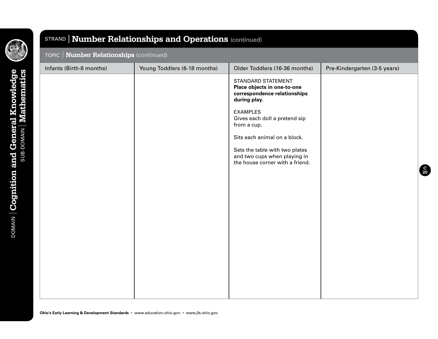

DOMAIN **Cognition and General Knowledge**

**DOMAIN** Cognition and General Knowledge<br>SUB-DOMAIN | Mathematics

#### STRAND **Number Relationships and Operations** (continued)

# TOPIC **Number Relationships** (continued) Infants (Birth-8 months) Young Toddlers (6-18 months) Older Toddlers (16-36 months) Pre-Kindergarten (3-5 years) STANDARD STATEMENT **Place objects in one-to-one correspondence relationships during play.** EXAMPLES Gives each doll a pretend sip from a cup. Sits each animal on a block. Sets the table with two plates and two cups when playing in the house corner with a friend.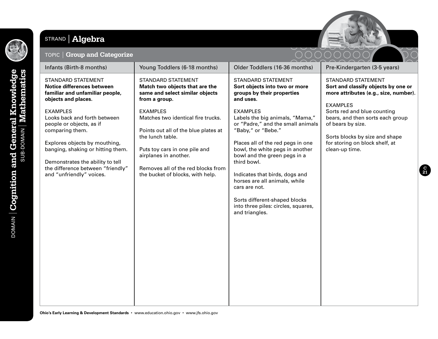

#### STRAND **Algebra**



#### TOPIC **Group and Categorize** Infants (Birth-8 months) Young Toddlers (6-18 months) Older Toddlers (16-36 months) Pre-Kindergarten (3-5 years) STANDARD STATEMENT **Notice differences between familiar and unfamiliar people, objects and places. EXAMPLES** Looks back and forth between people or objects, as if comparing them. Explores objects by mouthing, banging, shaking or hitting them. Demonstrates the ability to tell the difference between "friendly" and "unfriendly" voices. STANDARD STATEMENT **Match two objects that are the same and select similar objects from a group.** EXAMPLES Matches two identical fire trucks. Points out all of the blue plates at the lunch table. Puts toy cars in one pile and airplanes in another. Removes all of the red blocks from the bucket of blocks, with help. STANDARD STATEMENT **Sort objects into two or more groups by their properties and uses.** EXAMPLES Labels the big animals, "Mama," or "Padre," and the small animals "Baby," or "Bebe." Places all of the red pegs in one bowl, the white pegs in another bowl and the green pegs in a third bowl. Indicates that birds, dogs and horses are all animals, while cars are not. Sorts different-shaped blocks into three piles: circles, squares, and triangles. STANDARD STATEMENT **Sort and classify objects by one or more attributes (e.g., size, number).** EXAMPLES Sorts red and blue counting bears, and then sorts each group of bears by size. Sorts blocks by size and shape for storing on block shelf, at clean-up time.

**Ohio's Early Learning & Development Standards** • www.education.ohio.gov • www.jfs.ohio.gov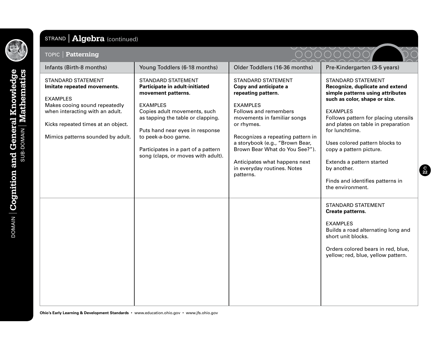

SUB-DOMAIN

**General Knowledge**<br>DOMAIN | Mathematics

DOMAIN **Cognition and General Knowledge**

**DOMAIN** Cognition and

#### STRAND **Algebra** (continued)

#### TOPIC **Patterning** Infants (Birth-8 months) Young Toddlers (6-18 months) Older Toddlers (16-36 months) Pre-Kindergarten (3-5 years) STANDARD STATEMENT **Imitate repeated movements.** EXAMPLES Makes cooing sound repeatedly when interacting with an adult. Kicks repeated times at an object. Mimics patterns sounded by adult. STANDARD STATEMENT **Participate in adult-initiated movement patterns.** EXAMPLES Copies adult movements, such as tapping the table or clapping. Puts hand near eyes in response to peek-a-boo game. Participates in a part of a pattern song (claps, or moves with adult). STANDARD STATEMENT **Copy and anticipate a repeating pattern. EXAMPLES** Follows and remembers movements in familiar songs or rhymes. Recognizes a repeating pattern in a storybook (e.g., "Brown Bear, Brown Bear What do You See?"). Anticipates what happens next in everyday routines. Notes patterns. STANDARD STATEMENT **Recognize, duplicate and extend simple patterns using attributes such as color, shape or size. EXAMPLES** Follows pattern for placing utensils and plates on table in preparation for lunchtime. Uses colored pattern blocks to copy a pattern picture. Extends a pattern started by another. Finds and identifies patterns in the environment. STANDARD STATEMENT **Create patterns.**  EXAMPLES Builds a road alternating long and short unit blocks. Orders colored bears in red, blue, yellow; red, blue, yellow pattern.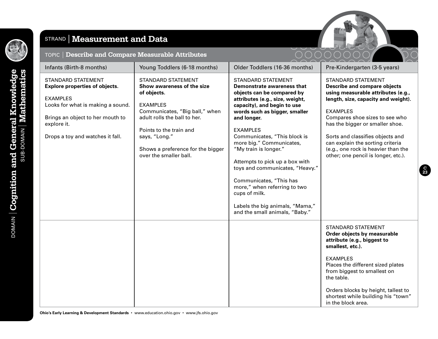

#### STRAND **Measurement and Data**



**C 23**

#### TOPIC **Describe and Compare Measurable Attributes**

|  | $\bigcirc$ |
|--|------------|

| Infants (Birth-8 months)                                                                                                                                                                                          | Young Toddlers (6-18 months)                                                                                                                                                                                                                                           | Older Toddlers (16-36 months)                                                                                                                                                                                                                                                                                                                                                                                                                                                                                                                | Pre-Kindergarten (3-5 years)                                                                                                                                                                                                                                                                                                                                                                |
|-------------------------------------------------------------------------------------------------------------------------------------------------------------------------------------------------------------------|------------------------------------------------------------------------------------------------------------------------------------------------------------------------------------------------------------------------------------------------------------------------|----------------------------------------------------------------------------------------------------------------------------------------------------------------------------------------------------------------------------------------------------------------------------------------------------------------------------------------------------------------------------------------------------------------------------------------------------------------------------------------------------------------------------------------------|---------------------------------------------------------------------------------------------------------------------------------------------------------------------------------------------------------------------------------------------------------------------------------------------------------------------------------------------------------------------------------------------|
| <b>STANDARD STATEMENT</b><br><b>Explore properties of objects.</b><br><b>EXAMPLES</b><br>Looks for what is making a sound.<br>Brings an object to her mouth to<br>explore it.<br>Drops a toy and watches it fall. | <b>STANDARD STATEMENT</b><br>Show awareness of the size<br>of objects.<br><b>EXAMPLES</b><br>Communicates, "Big ball," when<br>adult rolls the ball to her.<br>Points to the train and<br>says, "Long."<br>Shows a preference for the bigger<br>over the smaller ball. | <b>STANDARD STATEMENT</b><br><b>Demonstrate awareness that</b><br>objects can be compared by<br>attributes (e.g., size, weight,<br>capacity), and begin to use<br>words such as bigger, smaller<br>and longer.<br><b>EXAMPLES</b><br>Communicates, "This block is<br>more big." Communicates,<br>"My train is longer."<br>Attempts to pick up a box with<br>toys and communicates, "Heavy."<br>Communicates, "This has<br>more," when referring to two<br>cups of milk.<br>Labels the big animals, "Mama,"<br>and the small animals, "Baby." | <b>STANDARD STATEMENT</b><br><b>Describe and compare objects</b><br>using measurable attributes (e.g.,<br>length, size, capacity and weight).<br><b>EXAMPLES</b><br>Compares shoe sizes to see who<br>has the bigger or smaller shoe.<br>Sorts and classifies objects and<br>can explain the sorting criteria<br>(e.g., one rock is heavier than the<br>other; one pencil is longer, etc.). |
|                                                                                                                                                                                                                   |                                                                                                                                                                                                                                                                        |                                                                                                                                                                                                                                                                                                                                                                                                                                                                                                                                              | <b>STANDARD STATEMENT</b><br>Order objects by measurable<br>attribute (e.g., biggest to<br>smallest, etc.).<br><b>EXAMPLES</b><br>Places the different sized plates<br>from biggest to smallest on<br>the table.<br>Orders blocks by height, tallest to<br>shortest while building his "town"<br>in the block area.                                                                         |

**Ohio's Early Learning & Development Standards** • www.education.ohio.gov • www.jfs.ohio.gov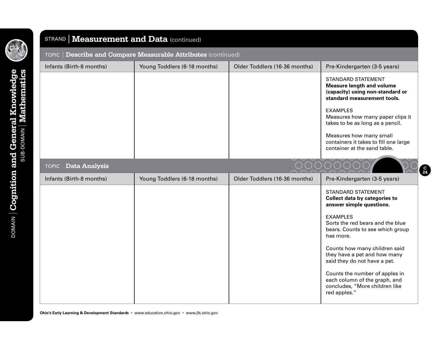

#### STRAND **Measurement and Data** (continued)

TOPIC **Describe and Compare Measurable Attributes** (continued)

| Infants (Birth-8 months)             | Young Toddlers (6-18 months) | Older Toddlers (16-36 months) | Pre-Kindergarten (3-5 years)                                                                                                     |
|--------------------------------------|------------------------------|-------------------------------|----------------------------------------------------------------------------------------------------------------------------------|
|                                      |                              |                               | <b>STANDARD STATEMENT</b><br><b>Measure length and volume</b><br>(capacity) using non-standard or<br>standard measurement tools. |
|                                      |                              |                               | <b>EXAMPLES</b><br>Measures how many paper clips it<br>takes to be as long as a pencil.                                          |
|                                      |                              |                               | Measures how many small<br>containers it takes to fill one large<br>container at the sand table.                                 |
| <b>Data Analysis</b><br><b>TOPIC</b> |                              |                               |                                                                                                                                  |
| Infants (Birth-8 months)             | Young Toddlers (6-18 months) | Older Toddlers (16-36 months) | Pre-Kindergarten (3-5 years)                                                                                                     |
|                                      |                              |                               | <b>STANDARD STATEMENT</b><br><b>Collect data by categories to</b><br>answer simple questions.                                    |
|                                      |                              |                               | <b>EXAMPLES</b><br>Sorts the red bears and the blue<br>bears. Counts to see which group<br>has more.                             |
|                                      |                              |                               | Counts how many children said<br>they have a pet and how many<br>said they do not have a pet.                                    |
|                                      |                              |                               | Counts the number of apples in<br>each column of the graph, and<br>concludes, "More children like<br>red apples."                |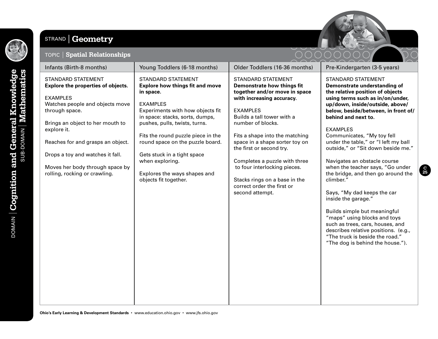

SUB-DOMAIN | Mathematics

DOMAIN **Cognition and General Knowledge**

**DOMAIN | Cognition and General Knowledge** 

### STRAND **Geometry**

TOPIC **Spatial Relationships**

#### $\cap$

| Infants (Birth-8 months)                                                                                                                                                                                                                                                                                                                | Young Toddlers (6-18 months)                                                                                                                                                                                                                                                                                                                                                                     | Older Toddlers (16-36 months)                                                                                                                                                                                                                                                                                                                                                                                                                         | Pre-Kindergarten (3-5 years)                                                                                                                                                                                                                                                                                                                                                                                                                                                                                                                                                                                                                                                                                                                                      |
|-----------------------------------------------------------------------------------------------------------------------------------------------------------------------------------------------------------------------------------------------------------------------------------------------------------------------------------------|--------------------------------------------------------------------------------------------------------------------------------------------------------------------------------------------------------------------------------------------------------------------------------------------------------------------------------------------------------------------------------------------------|-------------------------------------------------------------------------------------------------------------------------------------------------------------------------------------------------------------------------------------------------------------------------------------------------------------------------------------------------------------------------------------------------------------------------------------------------------|-------------------------------------------------------------------------------------------------------------------------------------------------------------------------------------------------------------------------------------------------------------------------------------------------------------------------------------------------------------------------------------------------------------------------------------------------------------------------------------------------------------------------------------------------------------------------------------------------------------------------------------------------------------------------------------------------------------------------------------------------------------------|
| <b>STANDARD STATEMENT</b><br>Explore the properties of objects.<br><b>EXAMPLES</b><br>Watches people and objects move<br>through space.<br>Brings an object to her mouth to<br>explore it.<br>Reaches for and grasps an object.<br>Drops a toy and watches it fall.<br>Moves her body through space by<br>rolling, rocking or crawling. | <b>STANDARD STATEMENT</b><br><b>Explore how things fit and move</b><br>in space.<br><b>EXAMPLES</b><br>Experiments with how objects fit<br>in space: stacks, sorts, dumps,<br>pushes, pulls, twists, turns.<br>Fits the round puzzle piece in the<br>round space on the puzzle board.<br>Gets stuck in a tight space<br>when exploring.<br>Explores the ways shapes and<br>objects fit together. | <b>STANDARD STATEMENT</b><br><b>Demonstrate how things fit</b><br>together and/or move in space<br>with increasing accuracy.<br><b>EXAMPLES</b><br>Builds a tall tower with a<br>number of blocks.<br>Fits a shape into the matching<br>space in a shape sorter toy on<br>the first or second try.<br>Completes a puzzle with three<br>to four interlocking pieces.<br>Stacks rings on a base in the<br>correct order the first or<br>second attempt. | <b>STANDARD STATEMENT</b><br>Demonstrate understanding of<br>the relative position of objects<br>using terms such as in/on/under,<br>up/down, inside/outside, above/<br>below, beside/between, in front of/<br>behind and next to.<br><b>EXAMPLES</b><br>Communicates, "My toy fell<br>under the table," or "I left my ball<br>outside," or "Sit down beside me."<br>Navigates an obstacle course<br>when the teacher says, "Go under<br>the bridge, and then go around the<br>climber."<br>Says, "My dad keeps the car<br>inside the garage."<br>Builds simple but meaningful<br>"maps" using blocks and toys<br>such as trees, cars, houses, and<br>describes relative positions. (e.g.,<br>"The truck is beside the road."<br>"The dog is behind the house."). |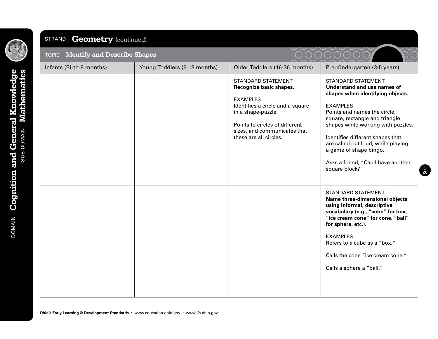DOMAIN **Cognition and General Knowledge**

**DOMAIN** | Cognition and General Knowledge<br>SUB-DOMAIN | Mathematics

# STRAND **Geometry** (continued)

| <b>Identify and Describe Shapes</b><br>$\overline{ \text{TOPIC} }$ |                              |                                                                                                                                                                                                                        | $\sim$                                                                                                                                                                                                                                                                                                                                                                              |
|--------------------------------------------------------------------|------------------------------|------------------------------------------------------------------------------------------------------------------------------------------------------------------------------------------------------------------------|-------------------------------------------------------------------------------------------------------------------------------------------------------------------------------------------------------------------------------------------------------------------------------------------------------------------------------------------------------------------------------------|
| Infants (Birth-8 months)                                           | Young Toddlers (6-18 months) | Older Toddlers (16-36 months)                                                                                                                                                                                          | Pre-Kindergarten (3-5 years)                                                                                                                                                                                                                                                                                                                                                        |
|                                                                    |                              | STANDARD STATEMENT<br>Recognize basic shapes.<br><b>EXAMPLES</b><br>Identifies a circle and a square<br>in a shape-puzzle.<br>Points to circles of different<br>sizes, and communicates that<br>these are all circles. | <b>STANDARD STATEMENT</b><br>Understand and use names of<br>shapes when identifying objects.<br><b>EXAMPLES</b><br>Points and names the circle,<br>square, rectangle and triangle<br>shapes while working with puzzles.<br>Identifies different shapes that<br>are called out loud, while playing<br>a game of shape bingo.<br>Asks a friend, "Can I have another<br>square block?" |
|                                                                    |                              |                                                                                                                                                                                                                        | <b>STANDARD STATEMENT</b><br>Name three-dimensional objects<br>using informal, descriptive<br>vocabulary (e.g., "cube" for box,<br>"ice cream cone" for cone, "ball"<br>for sphere, etc.).<br><b>EXAMPLES</b><br>Refers to a cube as a "box."<br>Calls the cone "ice cream cone."<br>Calls a sphere a "ball."                                                                       |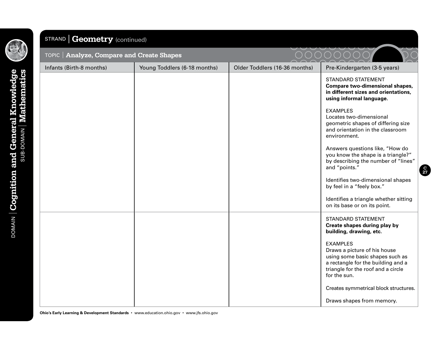

# STRAND **Geometry** (continued)

| <b>Analyze, Compare and Create Shapes</b><br>TOPIC |                              |                               |                                                                                                                                                                                |
|----------------------------------------------------|------------------------------|-------------------------------|--------------------------------------------------------------------------------------------------------------------------------------------------------------------------------|
| Infants (Birth-8 months)                           | Young Toddlers (6-18 months) | Older Toddlers (16-36 months) | Pre-Kindergarten (3-5 years)                                                                                                                                                   |
|                                                    |                              |                               | <b>STANDARD STATEMENT</b><br><b>Compare two-dimensional shapes,</b><br>in different sizes and orientations,<br>using informal language.                                        |
|                                                    |                              |                               | <b>EXAMPLES</b><br>Locates two-dimensional<br>geometric shapes of differing size<br>and orientation in the classroom<br>environment.                                           |
|                                                    |                              |                               | Answers questions like, "How do<br>you know the shape is a triangle?"<br>by describing the number of "lines"<br>and "points."                                                  |
|                                                    |                              |                               | Identifies two-dimensional shapes<br>by feel in a "feely box."                                                                                                                 |
|                                                    |                              |                               | Identifies a triangle whether sitting<br>on its base or on its point.                                                                                                          |
|                                                    |                              |                               | <b>STANDARD STATEMENT</b><br>Create shapes during play by<br>building, drawing, etc.                                                                                           |
|                                                    |                              |                               | <b>EXAMPLES</b><br>Draws a picture of his house<br>using some basic shapes such as<br>a rectangle for the building and a<br>triangle for the roof and a circle<br>for the sun. |
|                                                    |                              |                               | Creates symmetrical block structures.                                                                                                                                          |
|                                                    |                              |                               | Draws shapes from memory.                                                                                                                                                      |

**Ohio's Early Learning & Development Standards** • www.education.ohio.gov • www.jfs.ohio.gov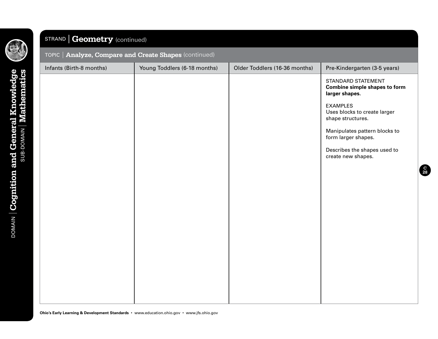

DOMAIN **Cognition and General Knowledge**

# STRAND **Geometry** (continued)

| Infants (Birth-8 months) | Young Toddlers (6-18 months) | Older Toddlers (16-36 months) | Pre-Kindergarten (3-5 years)                                                 |
|--------------------------|------------------------------|-------------------------------|------------------------------------------------------------------------------|
|                          |                              |                               | STANDARD STATEMENT<br><b>Combine simple shapes to form</b><br>larger shapes. |
|                          |                              |                               | <b>EXAMPLES</b><br>Uses blocks to create larger<br>shape structures.         |
|                          |                              |                               | Manipulates pattern blocks to<br>form larger shapes.                         |
|                          |                              |                               | Describes the shapes used to<br>create new shapes.                           |
|                          |                              |                               |                                                                              |
|                          |                              |                               |                                                                              |
|                          |                              |                               |                                                                              |
|                          |                              |                               |                                                                              |
|                          |                              |                               |                                                                              |
|                          |                              |                               |                                                                              |
|                          |                              |                               |                                                                              |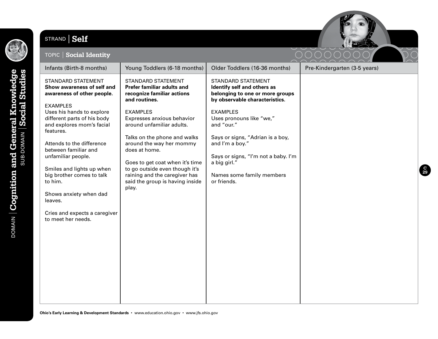

**DOMAIN** | Cognition and General Knowledge<br>SUB-DOMAIN | Social Studies

SUB-DOMAIN **Social Studies**

# STRAND | Self



#### TOPIC **Social Identity**

| Infants (Birth-8 months)                                                                                                                                                                                                                                                                                                                                          | Young Toddlers (6-18 months)                                                                                                                                                                                                                                                                              | Older Toddlers (16-36 months)                                                                                                                                                                                       | Pre-Kindergarten (3-5 years) |
|-------------------------------------------------------------------------------------------------------------------------------------------------------------------------------------------------------------------------------------------------------------------------------------------------------------------------------------------------------------------|-----------------------------------------------------------------------------------------------------------------------------------------------------------------------------------------------------------------------------------------------------------------------------------------------------------|---------------------------------------------------------------------------------------------------------------------------------------------------------------------------------------------------------------------|------------------------------|
| <b>STANDARD STATEMENT</b><br>Show awareness of self and<br>awareness of other people.                                                                                                                                                                                                                                                                             | <b>STANDARD STATEMENT</b><br>Prefer familiar adults and<br>recognize familiar actions<br>and routines.                                                                                                                                                                                                    | <b>STANDARD STATEMENT</b><br>Identify self and others as<br>belonging to one or more groups<br>by observable characteristics.                                                                                       |                              |
| <b>EXAMPLES</b><br>Uses his hands to explore<br>different parts of his body<br>and explores mom's facial<br>features.<br>Attends to the difference<br>between familiar and<br>unfamiliar people.<br>Smiles and lights up when<br>big brother comes to talk<br>to him.<br>Shows anxiety when dad<br>leaves.<br>Cries and expects a caregiver<br>to meet her needs. | <b>EXAMPLES</b><br>Expresses anxious behavior<br>around unfamiliar adults.<br>Talks on the phone and walks<br>around the way her mommy<br>does at home.<br>Goes to get coat when it's time<br>to go outside even though it's<br>raining and the caregiver has<br>said the group is having inside<br>play. | <b>EXAMPLES</b><br>Uses pronouns like "we,"<br>and "our."<br>Says or signs, "Adrian is a boy,<br>and I'm a boy."<br>Says or signs, "I'm not a baby. I'm<br>a big girl."<br>Names some family members<br>or friends. |                              |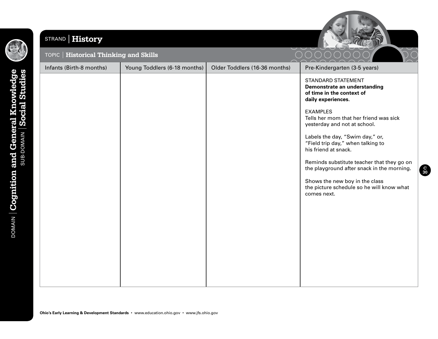

SUB-DOMAIN **Social Studies**

### STRAND **History**



 $\curvearrowright$ 

**C 30**

#### TOPIC **Historical Thinking and Skills**

| Infants (Birth-8 months) | Young Toddlers (6-18 months) | Older Toddlers (16-36 months) | Pre-Kindergarten (3-5 years)                                                                          |
|--------------------------|------------------------------|-------------------------------|-------------------------------------------------------------------------------------------------------|
|                          |                              |                               | STANDARD STATEMENT<br>Demonstrate an understanding<br>of time in the context of<br>daily experiences. |
|                          |                              |                               | <b>EXAMPLES</b><br>Tells her mom that her friend was sick<br>yesterday and not at school.             |
|                          |                              |                               | Labels the day, "Swim day," or,<br>"Field trip day," when talking to<br>his friend at snack.          |
|                          |                              |                               | Reminds substitute teacher that they go on<br>the playground after snack in the morning.              |
|                          |                              |                               | Shows the new boy in the class<br>the picture schedule so he will know what<br>comes next.            |
|                          |                              |                               |                                                                                                       |
|                          |                              |                               |                                                                                                       |
|                          |                              |                               |                                                                                                       |
|                          |                              |                               |                                                                                                       |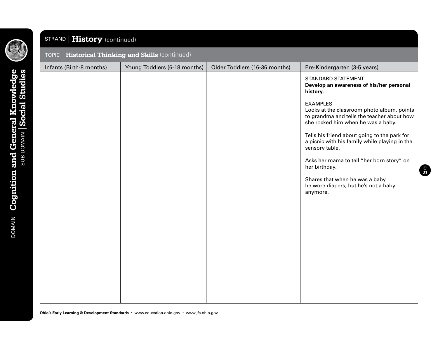

SUB-DOMAIN **Social Studies**

# STRAND **History** (continued)

|  |  | TOPIC   <b>Historical Thinking and Skills</b> (continued) |  |  |
|--|--|-----------------------------------------------------------|--|--|
|--|--|-----------------------------------------------------------|--|--|

| Infants (Birth-8 months) | Young Toddlers (6-18 months) | Older Toddlers (16-36 months) | Pre-Kindergarten (3-5 years)                                                                                                                      |
|--------------------------|------------------------------|-------------------------------|---------------------------------------------------------------------------------------------------------------------------------------------------|
|                          |                              |                               | STANDARD STATEMENT<br>Develop an awareness of his/her personal<br>history.                                                                        |
|                          |                              |                               | <b>EXAMPLES</b><br>Looks at the classroom photo album, points<br>to grandma and tells the teacher about how<br>she rocked him when he was a baby. |
|                          |                              |                               | Tells his friend about going to the park for<br>a picnic with his family while playing in the<br>sensory table.                                   |
|                          |                              |                               | Asks her mama to tell "her born story" on<br>her birthday.                                                                                        |
|                          |                              |                               | Shares that when he was a baby<br>he wore diapers, but he's not a baby<br>anymore.                                                                |
|                          |                              |                               |                                                                                                                                                   |
|                          |                              |                               |                                                                                                                                                   |
|                          |                              |                               |                                                                                                                                                   |
|                          |                              |                               |                                                                                                                                                   |
|                          |                              |                               |                                                                                                                                                   |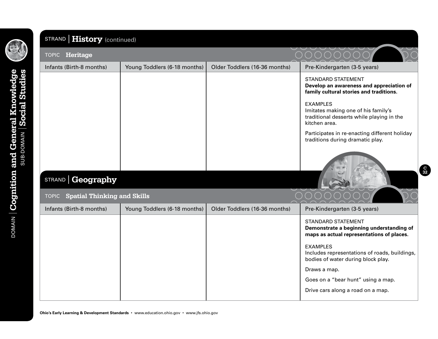

# STRAND **History** (continued)

| Heritage<br><b>TOPIC</b>                           |                              |                               |                                                                                                                      |
|----------------------------------------------------|------------------------------|-------------------------------|----------------------------------------------------------------------------------------------------------------------|
| Infants (Birth-8 months)                           | Young Toddlers (6-18 months) | Older Toddlers (16-36 months) | Pre-Kindergarten (3-5 years)                                                                                         |
|                                                    |                              |                               | <b>STANDARD STATEMENT</b><br>Develop an awareness and appreciation of<br>family cultural stories and traditions.     |
|                                                    |                              |                               | <b>EXAMPLES</b><br>Imitates making one of his family's<br>traditional desserts while playing in the<br>kitchen area. |
|                                                    |                              |                               | Participates in re-enacting different holiday<br>traditions during dramatic play.                                    |
|                                                    |                              |                               |                                                                                                                      |
| STRAND   Geography                                 |                              |                               |                                                                                                                      |
| <b>Spatial Thinking and Skills</b><br><b>TOPIC</b> |                              |                               |                                                                                                                      |
| Infants (Birth-8 months)                           | Young Toddlers (6-18 months) | Older Toddlers (16-36 months) | Pre-Kindergarten (3-5 years)                                                                                         |
|                                                    |                              |                               | <b>STANDARD STATEMENT</b><br>Demonstrate a beginning understanding of<br>maps as actual representations of places.   |
|                                                    |                              |                               | <b>EXAMPLES</b><br>Includes representations of roads, buildings,<br>bodies of water during block play.               |
|                                                    |                              |                               | Draws a map.                                                                                                         |
|                                                    |                              |                               | Goes on a "bear hunt" using a map.                                                                                   |
|                                                    |                              |                               | Drive cars along a road on a map.                                                                                    |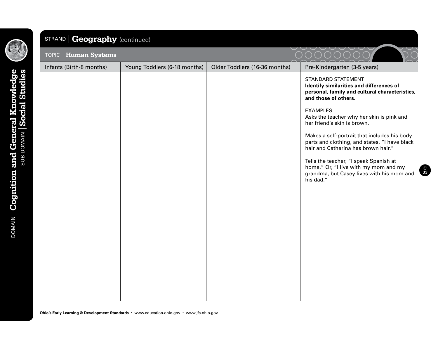

SUB-DOMAIN **Social Studies**

DOMAIN **Cognition and General Knowledge**

# STRAND **Geography** (continued)

| <b>TOPIC</b>   Human Systems |                              |                               |                                                                                                                                                 |
|------------------------------|------------------------------|-------------------------------|-------------------------------------------------------------------------------------------------------------------------------------------------|
| Infants (Birth-8 months)     | Young Toddlers (6-18 months) | Older Toddlers (16-36 months) | Pre-Kindergarten (3-5 years)                                                                                                                    |
|                              |                              |                               | <b>STANDARD STATEMENT</b><br>Identify similarities and differences of<br>personal, family and cultural characteristics,<br>and those of others. |
|                              |                              |                               | <b>EXAMPLES</b><br>Asks the teacher why her skin is pink and<br>her friend's skin is brown.                                                     |
|                              |                              |                               | Makes a self-portrait that includes his body<br>parts and clothing, and states, "I have black<br>hair and Catherina has brown hair."            |
|                              |                              |                               | Tells the teacher, "I speak Spanish at<br>home." Or, "I live with my mom and my<br>grandma, but Casey lives with his mom and<br>his dad."       |
|                              |                              |                               |                                                                                                                                                 |
|                              |                              |                               |                                                                                                                                                 |
|                              |                              |                               |                                                                                                                                                 |
|                              |                              |                               |                                                                                                                                                 |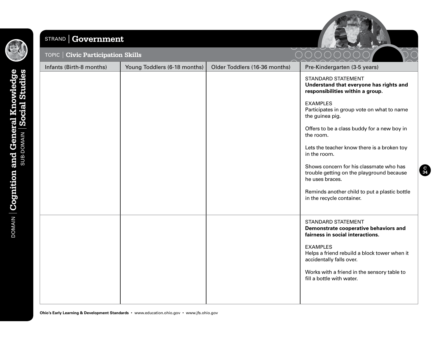

**DOMAIN** | Cognition and General Knowledge<br>SUB-DOMAIN | Social Studies

SUB-DOMAIN **Social Studies**

# STRAND **Government**

#### TOPIC **Civic Participation Skills**



| Infants (Birth-8 months) | Young Toddlers (6-18 months) | Older Toddlers (16-36 months) | Pre-Kindergarten (3-5 years)                                                                                                                                                                                                                                                                                                                                                                                                                                                                                     |
|--------------------------|------------------------------|-------------------------------|------------------------------------------------------------------------------------------------------------------------------------------------------------------------------------------------------------------------------------------------------------------------------------------------------------------------------------------------------------------------------------------------------------------------------------------------------------------------------------------------------------------|
|                          |                              |                               | <b>STANDARD STATEMENT</b><br>Understand that everyone has rights and<br>responsibilities within a group.<br><b>EXAMPLES</b><br>Participates in group vote on what to name<br>the guinea pig.<br>Offers to be a class buddy for a new boy in<br>the room.<br>Lets the teacher know there is a broken toy<br>in the room.<br>Shows concern for his classmate who has<br>trouble getting on the playground because<br>he uses braces.<br>Reminds another child to put a plastic bottle<br>in the recycle container. |
|                          |                              |                               | <b>STANDARD STATEMENT</b><br>Demonstrate cooperative behaviors and<br>fairness in social interactions.<br><b>EXAMPLES</b><br>Helps a friend rebuild a block tower when it<br>accidentally falls over.<br>Works with a friend in the sensory table to<br>fill a bottle with water.                                                                                                                                                                                                                                |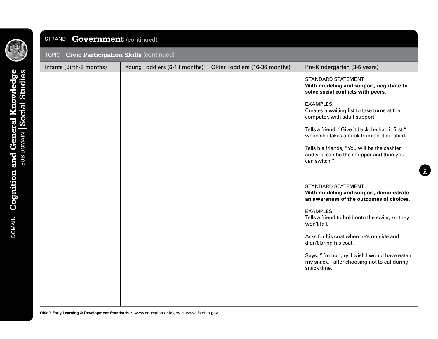

SUB-DOMAIN **Social Studies**

DOMAIN **Cognition and General Knowledge**

# STRAND **Government** (continued)

#### TOPIC **Civic Participation Skills** (continued)

| Infants (Birth-8 months) | Young Toddlers (6-18 months) | Older Toddlers (16-36 months) | Pre-Kindergarten (3-5 years)                                                                                                                                                                                                                                                                                                                                                                                             |
|--------------------------|------------------------------|-------------------------------|--------------------------------------------------------------------------------------------------------------------------------------------------------------------------------------------------------------------------------------------------------------------------------------------------------------------------------------------------------------------------------------------------------------------------|
|                          |                              |                               | <b>STANDARD STATEMENT</b><br>With modeling and support, negotiate to<br>solve social conflicts with peers.<br><b>EXAMPLES</b><br>Creates a waiting list to take turns at the<br>computer, with adult support.<br>Tells a friend, "Give it back, he had it first,"<br>when she takes a book from another child.<br>Tells his friends, "You will be the cashier<br>and you can be the shopper and then you<br>can switch." |
|                          |                              |                               | <b>STANDARD STATEMENT</b><br>With modeling and support, demonstrate<br>an awareness of the outcomes of choices.<br><b>EXAMPLES</b><br>Tells a friend to hold onto the swing so they<br>won't fall.<br>Asks for his coat when he's outside and<br>didn't bring his coat.<br>Says, "I'm hungry. I wish I would have eaten<br>my snack," after choosing not to eat during<br>snack time.                                    |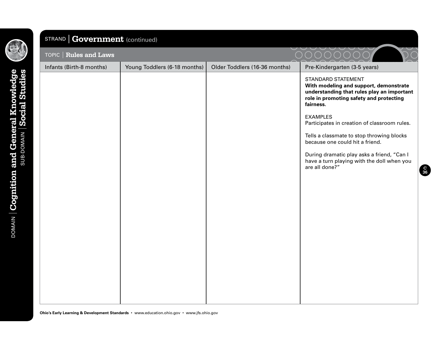

SUB-DOMAIN **Social Studies**

DOMAIN **Cognition and General Knowledge**

| STRAND   Government (continued) |                              |                               |                                                                                                                                                                                                                                                                                                                                                                                                                                            |
|---------------------------------|------------------------------|-------------------------------|--------------------------------------------------------------------------------------------------------------------------------------------------------------------------------------------------------------------------------------------------------------------------------------------------------------------------------------------------------------------------------------------------------------------------------------------|
| TOPIC   Rules and Laws          |                              |                               | OOO<br>$\bigcirc$                                                                                                                                                                                                                                                                                                                                                                                                                          |
| Infants (Birth-8 months)        | Young Toddlers (6-18 months) | Older Toddlers (16-36 months) | Pre-Kindergarten (3-5 years)                                                                                                                                                                                                                                                                                                                                                                                                               |
|                                 |                              |                               | <b>STANDARD STATEMENT</b><br>With modeling and support, demonstrate<br>understanding that rules play an important<br>role in promoting safety and protecting<br>fairness.<br><b>EXAMPLES</b><br>Participates in creation of classroom rules.<br>Tells a classmate to stop throwing blocks<br>because one could hit a friend.<br>During dramatic play asks a friend, "Can I<br>have a turn playing with the doll when you<br>are all done?" |
|                                 |                              |                               |                                                                                                                                                                                                                                                                                                                                                                                                                                            |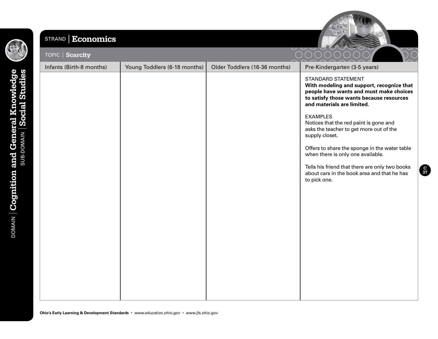

SUB-DOMAIN **Social Studies**

#### STRAND **Economics**



| TOPIC   Scarcity         |                              |                               |                                                                                                                                                                                             |
|--------------------------|------------------------------|-------------------------------|---------------------------------------------------------------------------------------------------------------------------------------------------------------------------------------------|
| Infants (Birth-8 months) | Young Toddlers (6-18 months) | Older Toddlers (16-36 months) | Pre-Kindergarten (3-5 years)                                                                                                                                                                |
|                          |                              |                               | <b>STANDARD STATEMENT</b><br>With modeling and support, recognize that<br>people have wants and must make choices<br>to satisfy those wants because resources<br>and materials are limited. |
|                          |                              |                               | <b>EXAMPLES</b><br>Notices that the red paint is gone and<br>asks the teacher to get more out of the<br>supply closet.                                                                      |
|                          |                              |                               | Offers to share the sponge in the water table<br>when there is only one available.                                                                                                          |
|                          |                              |                               | Tells his friend that there are only two books<br>about cars in the book area and that he has<br>to pick one.                                                                               |
|                          |                              |                               |                                                                                                                                                                                             |
|                          |                              |                               |                                                                                                                                                                                             |
|                          |                              |                               |                                                                                                                                                                                             |
|                          |                              |                               |                                                                                                                                                                                             |
|                          |                              |                               |                                                                                                                                                                                             |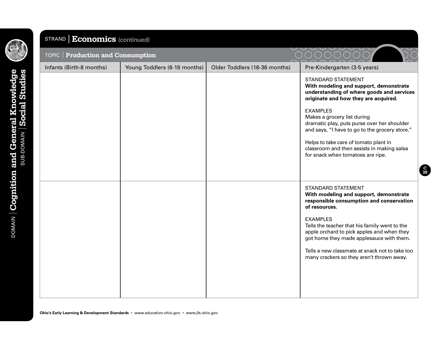

SUB-DOMAIN **Social Studies**

DOMAIN **Cognition and General Knowledge**

# STRAND **Economics** (continued)

| <b>Production and Consumption</b><br><b>TOPIC</b> |                              |                               |                                                                                                                                                            |
|---------------------------------------------------|------------------------------|-------------------------------|------------------------------------------------------------------------------------------------------------------------------------------------------------|
| Infants (Birth-8 months)                          | Young Toddlers (6-18 months) | Older Toddlers (16-36 months) | Pre-Kindergarten (3-5 years)                                                                                                                               |
|                                                   |                              |                               | <b>STANDARD STATEMENT</b><br>With modeling and support, demonstrate<br>understanding of where goods and services<br>originate and how they are acquired.   |
|                                                   |                              |                               | <b>EXAMPLES</b><br>Makes a grocery list during<br>dramatic play, puts purse over her shoulder<br>and says, "I have to go to the grocery store."            |
|                                                   |                              |                               | Helps to take care of tomato plant in<br>classroom and then assists in making salsa<br>for snack when tomatoes are ripe.                                   |
|                                                   |                              |                               |                                                                                                                                                            |
|                                                   |                              |                               | <b>STANDARD STATEMENT</b><br>With modeling and support, demonstrate<br>responsible consumption and conservation<br>of resources.                           |
|                                                   |                              |                               | <b>EXAMPLES</b><br>Tells the teacher that his family went to the<br>apple orchard to pick apples and when they<br>got home they made applesauce with them. |
|                                                   |                              |                               | Tells a new classmate at snack not to take too<br>many crackers so they aren't thrown away.                                                                |
|                                                   |                              |                               |                                                                                                                                                            |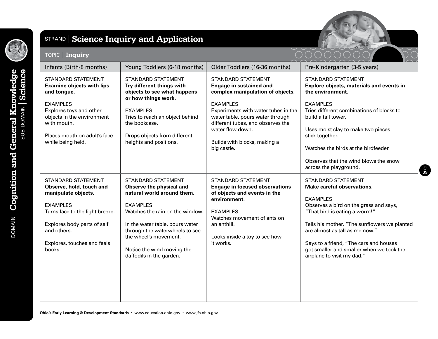

SUB-DOMAIN **Science**

DOMAIN **Cognition and General Knowledge**

**DOMAIN** | Cognition and General Knowledge

# STRAND **Science Inquiry and Application**



#### TOPIC **Inquiry**

| Infants (Birth-8 months)                                                                                                                                                                                                     | Young Toddlers (6-18 months)                                                                                                                                                                                                                                                                      | Older Toddlers (16-36 months)                                                                                                                                                                                                                                                                         | Pre-Kindergarten (3-5 years)                                                                                                                                                                                                                                                                                                                                       |
|------------------------------------------------------------------------------------------------------------------------------------------------------------------------------------------------------------------------------|---------------------------------------------------------------------------------------------------------------------------------------------------------------------------------------------------------------------------------------------------------------------------------------------------|-------------------------------------------------------------------------------------------------------------------------------------------------------------------------------------------------------------------------------------------------------------------------------------------------------|--------------------------------------------------------------------------------------------------------------------------------------------------------------------------------------------------------------------------------------------------------------------------------------------------------------------------------------------------------------------|
| <b>STANDARD STATEMENT</b><br><b>Examine objects with lips</b><br>and tongue.<br><b>EXAMPLES</b><br>Explores toys and other<br>objects in the environment<br>with mouth.<br>Places mouth on adult's face<br>while being held. | <b>STANDARD STATEMENT</b><br>Try different things with<br>objects to see what happens<br>or how things work.<br><b>EXAMPLES</b><br>Tries to reach an object behind<br>the bookcase.<br>Drops objects from different<br>heights and positions.                                                     | <b>STANDARD STATEMENT</b><br><b>Engage in sustained and</b><br>complex manipulation of objects.<br><b>EXAMPLES</b><br>Experiments with water tubes in the<br>water table, pours water through<br>different tubes, and observes the<br>water flow down.<br>Builds with blocks, making a<br>big castle. | <b>STANDARD STATEMENT</b><br>Explore objects, materials and events in<br>the environment.<br><b>EXAMPLES</b><br>Tries different combinations of blocks to<br>build a tall tower.<br>Uses moist clay to make two pieces<br>stick together.<br>Watches the birds at the birdfeeder.<br>Observes that the wind blows the snow<br>across the playground.               |
| <b>STANDARD STATEMENT</b><br>Observe, hold, touch and<br>manipulate objects.<br><b>EXAMPLES</b><br>Turns face to the light breeze.<br>Explores body parts of self<br>and others.<br>Explores, touches and feels<br>books.    | <b>STANDARD STATEMENT</b><br>Observe the physical and<br>natural world around them.<br><b>EXAMPLES</b><br>Watches the rain on the window.<br>In the water table, pours water<br>through the waterwheels to see<br>the wheel's movement.<br>Notice the wind moving the<br>daffodils in the garden. | <b>STANDARD STATEMENT</b><br><b>Engage in focused observations</b><br>of objects and events in the<br>environment.<br><b>EXAMPLES</b><br>Watches movement of ants on<br>an anthill.<br>Looks inside a toy to see how<br>it works.                                                                     | <b>STANDARD STATEMENT</b><br><b>Make careful observations.</b><br><b>EXAMPLES</b><br>Observes a bird on the grass and says,<br>"That bird is eating a worm!"<br>Tells his mother, "The sunflowers we planted<br>are almost as tall as me now."<br>Says to a friend, "The cars and houses<br>got smaller and smaller when we took the<br>airplane to visit my dad." |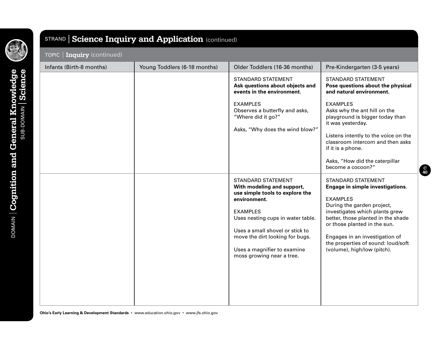

SUB-DOMAIN **Science**

DOMAIN **Cognition and General Knowledge**

# STRAND **Science Inquiry and Application** (continued)

#### TOPIC **Inquiry** (continued)

| Infants (Birth-8 months) | Young Toddlers (6-18 months) | Older Toddlers (16-36 months)                                                                                                                                                                                                                                                                 | Pre-Kindergarten (3-5 years)                                                                                                                                                                                                                                                                                           |
|--------------------------|------------------------------|-----------------------------------------------------------------------------------------------------------------------------------------------------------------------------------------------------------------------------------------------------------------------------------------------|------------------------------------------------------------------------------------------------------------------------------------------------------------------------------------------------------------------------------------------------------------------------------------------------------------------------|
|                          |                              | <b>STANDARD STATEMENT</b><br>Ask questions about objects and<br>events in the environment.                                                                                                                                                                                                    | <b>STANDARD STATEMENT</b><br>Pose questions about the physical<br>and natural environment.                                                                                                                                                                                                                             |
|                          |                              | <b>EXAMPLES</b><br>Observes a butterfly and asks,<br>"Where did it go?"<br>Asks, "Why does the wind blow?"                                                                                                                                                                                    | <b>EXAMPLES</b><br>Asks why the ant hill on the<br>playground is bigger today than<br>it was yesterday.<br>Listens intently to the voice on the<br>classroom intercom and then asks<br>if it is a phone.<br>Asks, "How did the caterpillar<br>become a cocoon?"                                                        |
|                          |                              | STANDARD STATEMENT<br>With modeling and support,<br>use simple tools to explore the<br>environment.<br><b>EXAMPLES</b><br>Uses nesting cups in water table.<br>Uses a small shovel or stick to<br>move the dirt looking for bugs.<br>Uses a magnifier to examine<br>moss growing near a tree. | STANDARD STATEMENT<br>Engage in simple investigations.<br><b>EXAMPLES</b><br>During the garden project,<br>investigates which plants grew<br>better, those planted in the shade<br>or those planted in the sun.<br>Engages in an investigation of<br>the properties of sound: loud/soft<br>(volume), high/low (pitch). |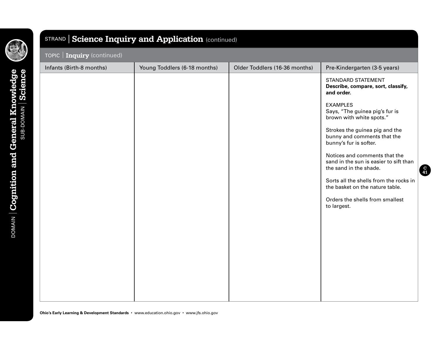| TOPIC   Inquiry (continued) |                              |                               |                                                                                                                                                                                                                                                                                                                                                                                                                                                                             |
|-----------------------------|------------------------------|-------------------------------|-----------------------------------------------------------------------------------------------------------------------------------------------------------------------------------------------------------------------------------------------------------------------------------------------------------------------------------------------------------------------------------------------------------------------------------------------------------------------------|
| Infants (Birth-8 months)    | Young Toddlers (6-18 months) | Older Toddlers (16-36 months) | Pre-Kindergarten (3-5 years)<br><b>STANDARD STATEMENT</b><br>Describe, compare, sort, classify,<br>and order.<br><b>EXAMPLES</b><br>Says, "The guinea pig's fur is<br>brown with white spots."<br>Strokes the guinea pig and the<br>bunny and comments that the<br>bunny's fur is softer.<br>Notices and comments that the<br>sand in the sun is easier to sift than<br>the sand in the shade.<br>Sorts all the shells from the rocks in<br>the basket on the nature table. |
|                             |                              |                               | Orders the shells from smallest<br>to largest.                                                                                                                                                                                                                                                                                                                                                                                                                              |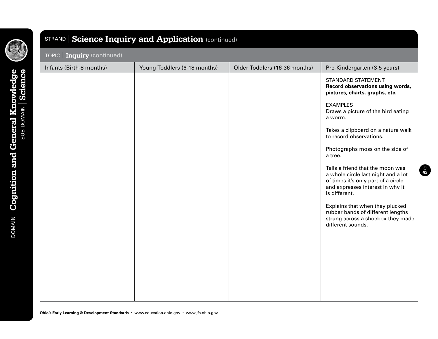| Infants (Birth-8 months) | Young Toddlers (6-18 months) | Older Toddlers (16-36 months) | Pre-Kindergarten (3-5 years)                                                                                                                                                                                                                                                                                                                                                                                                                                                                                                                                                                |
|--------------------------|------------------------------|-------------------------------|---------------------------------------------------------------------------------------------------------------------------------------------------------------------------------------------------------------------------------------------------------------------------------------------------------------------------------------------------------------------------------------------------------------------------------------------------------------------------------------------------------------------------------------------------------------------------------------------|
|                          |                              |                               | <b>STANDARD STATEMENT</b><br>Record observations using words,<br>pictures, charts, graphs, etc.<br><b>EXAMPLES</b><br>Draws a picture of the bird eating<br>a worm.<br>Takes a clipboard on a nature walk<br>to record observations.<br>Photographs moss on the side of<br>a tree.<br>Tells a friend that the moon was<br>a whole circle last night and a lot<br>of times it's only part of a circle<br>and expresses interest in why it<br>is different.<br>Explains that when they plucked<br>rubber bands of different lengths<br>strung across a shoebox they made<br>different sounds. |

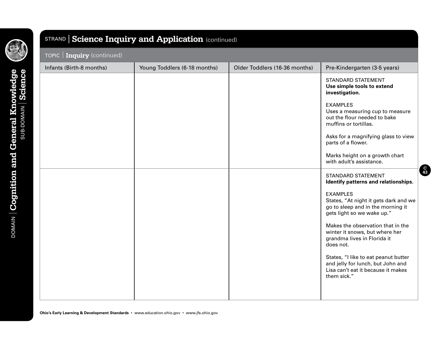| Infants (Birth-8 months) | Young Toddlers (6-18 months) | Older Toddlers (16-36 months) | Pre-Kindergarten (3-5 years)                                                                                                                                                                                                                                                                                                                                                                                                                          |
|--------------------------|------------------------------|-------------------------------|-------------------------------------------------------------------------------------------------------------------------------------------------------------------------------------------------------------------------------------------------------------------------------------------------------------------------------------------------------------------------------------------------------------------------------------------------------|
|                          |                              |                               | <b>STANDARD STATEMENT</b><br>Use simple tools to extend<br>investigation.<br><b>EXAMPLES</b><br>Uses a measuring cup to measure<br>out the flour needed to bake<br>muffins or tortillas.<br>Asks for a magnifying glass to view<br>parts of a flower.                                                                                                                                                                                                 |
|                          |                              |                               | Marks height on a growth chart<br>with adult's assistance.                                                                                                                                                                                                                                                                                                                                                                                            |
|                          |                              |                               | <b>STANDARD STATEMENT</b><br>Identify patterns and relationships.<br><b>EXAMPLES</b><br>States, "At night it gets dark and we<br>go to sleep and in the morning it<br>gets light so we wake up."<br>Makes the observation that in the<br>winter it snows, but where her<br>grandma lives in Florida it<br>does not.<br>States, "I like to eat peanut butter<br>and jelly for lunch, but John and<br>Lisa can't eat it because it makes<br>them sick." |

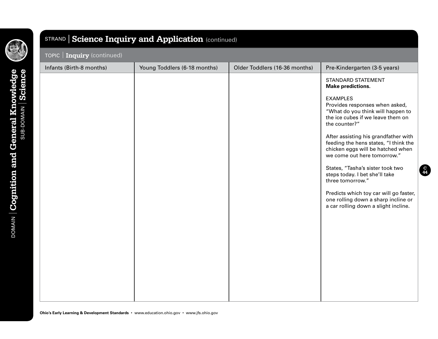|                    |                             | STRAND   Science Inquiry and Application (continued) |                               |                                                                                                                                                                                                                                                                                                   |
|--------------------|-----------------------------|------------------------------------------------------|-------------------------------|---------------------------------------------------------------------------------------------------------------------------------------------------------------------------------------------------------------------------------------------------------------------------------------------------|
|                    | TOPIC   Inquiry (continued) |                                                      |                               |                                                                                                                                                                                                                                                                                                   |
|                    | Infants (Birth-8 months)    | Young Toddlers (6-18 months)                         | Older Toddlers (16-36 months) | Pre-Kindergarten (3-5 years)                                                                                                                                                                                                                                                                      |
|                    |                             |                                                      |                               | <b>STANDARD STATEMENT</b><br><b>Make predictions.</b>                                                                                                                                                                                                                                             |
| SUB-DOMAIN Science |                             |                                                      |                               | <b>EXAMPLES</b><br>Provides responses when asked,<br>"What do you think will happen to<br>the ice cubes if we leave them on<br>the counter?"<br>After assisting his grandfather with<br>feeding the hens states, "I think the<br>chicken eggs will be hatched when<br>we come out here tomorrow." |
|                    |                             |                                                      |                               | States, "Tasha's sister took two<br>steps today. I bet she'll take<br>three tomorrow."<br>Predicts which toy car will go faster,<br>one rolling down a sharp incline or<br>a car rolling down a slight incline.                                                                                   |
|                    |                             |                                                      |                               |                                                                                                                                                                                                                                                                                                   |

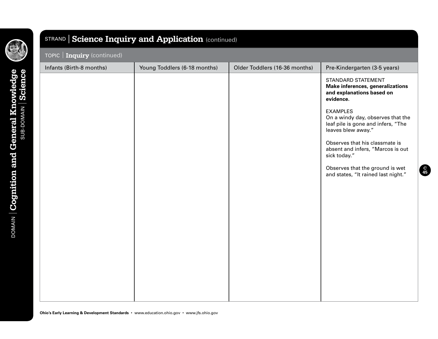| Infants (Birth-8 months) | Young Toddlers (6-18 months) | Older Toddlers (16-36 months) | Pre-Kindergarten (3-5 years)                                                                                                                                                                                                                                                                                                                                                                        |
|--------------------------|------------------------------|-------------------------------|-----------------------------------------------------------------------------------------------------------------------------------------------------------------------------------------------------------------------------------------------------------------------------------------------------------------------------------------------------------------------------------------------------|
|                          |                              |                               | <b>STANDARD STATEMENT</b><br><b>Make inferences, generalizations</b><br>and explanations based on<br>evidence.<br><b>EXAMPLES</b><br>On a windy day, observes that the<br>leaf pile is gone and infers, "The<br>leaves blew away."<br>Observes that his classmate is<br>absent and infers, "Marcos is out<br>sick today."<br>Observes that the ground is wet<br>and states, "It rained last night." |

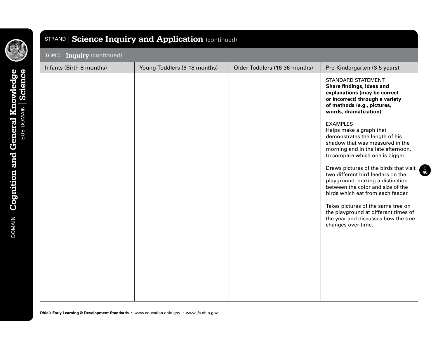| Infants (Birth-8 months) | Young Toddlers (6-18 months) | Older Toddlers (16-36 months) | Pre-Kindergarten (3-5 years)                                                                                                                                                              |
|--------------------------|------------------------------|-------------------------------|-------------------------------------------------------------------------------------------------------------------------------------------------------------------------------------------|
|                          |                              |                               | <b>STANDARD STATEMENT</b><br>Share findings, ideas and<br>explanations (may be correct<br>or incorrect) through a variety<br>of methods (e.g., pictures,<br>words, dramatization).        |
|                          |                              |                               | <b>EXAMPLES</b><br>Helps make a graph that<br>demonstrates the length of his<br>shadow that was measured in the<br>morning and in the late afternoon,<br>to compare which one is bigger.  |
|                          |                              |                               | Draws pictures of the birds that visit<br>two different bird feeders on the<br>playground, making a distinction<br>between the color and size of the<br>birds which eat from each feeder. |
|                          |                              |                               | Takes pictures of the same tree on<br>the playground at different times of<br>the year and discusses how the tree<br>changes over time.                                                   |
|                          |                              |                               |                                                                                                                                                                                           |
|                          |                              |                               |                                                                                                                                                                                           |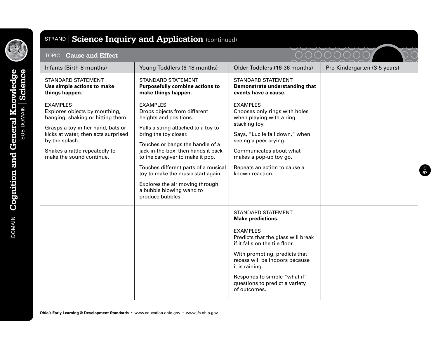

# STRAND **Science Inquiry and Application** (continued)

| <b>TOPIC</b>   Cause and Effect                                                                                                                                                                                                                  |                                                                                                                                                                                                                                                                                                                                                                                                                           |                                                                                                                                                                                                                                                                                                                         | ( ) ( )                      |
|--------------------------------------------------------------------------------------------------------------------------------------------------------------------------------------------------------------------------------------------------|---------------------------------------------------------------------------------------------------------------------------------------------------------------------------------------------------------------------------------------------------------------------------------------------------------------------------------------------------------------------------------------------------------------------------|-------------------------------------------------------------------------------------------------------------------------------------------------------------------------------------------------------------------------------------------------------------------------------------------------------------------------|------------------------------|
| Infants (Birth-8 months)                                                                                                                                                                                                                         | Young Toddlers (6-18 months)                                                                                                                                                                                                                                                                                                                                                                                              | Older Toddlers (16-36 months)                                                                                                                                                                                                                                                                                           | Pre-Kindergarten (3-5 years) |
| <b>STANDARD STATEMENT</b><br>Use simple actions to make<br>things happen.                                                                                                                                                                        | <b>STANDARD STATEMENT</b><br><b>Purposefully combine actions to</b><br>make things happen.                                                                                                                                                                                                                                                                                                                                | <b>STANDARD STATEMENT</b><br>Demonstrate understanding that<br>events have a cause.                                                                                                                                                                                                                                     |                              |
| <b>EXAMPLES</b><br>Explores objects by mouthing,<br>banging, shaking or hitting them.<br>Grasps a toy in her hand, bats or<br>kicks at water, then acts surprised<br>by the splash.<br>Shakes a rattle repeatedly to<br>make the sound continue. | <b>EXAMPLES</b><br>Drops objects from different<br>heights and positions.<br>Pulls a string attached to a toy to<br>bring the toy closer.<br>Touches or bangs the handle of a<br>jack-in-the-box, then hands it back<br>to the caregiver to make it pop.<br>Touches different parts of a musical<br>toy to make the music start again.<br>Explores the air moving through<br>a bubble blowing wand to<br>produce bubbles. | <b>EXAMPLES</b><br>Chooses only rings with holes<br>when playing with a ring<br>stacking toy.<br>Says, "Lucile fall down," when<br>seeing a peer crying.<br>Communicates about what<br>makes a pop-up toy go.<br>Repeats an action to cause a<br>known reaction.                                                        |                              |
|                                                                                                                                                                                                                                                  |                                                                                                                                                                                                                                                                                                                                                                                                                           | <b>STANDARD STATEMENT</b><br><b>Make predictions.</b><br><b>EXAMPLES</b><br>Predicts that the glass will break<br>if it falls on the tile floor.<br>With prompting, predicts that<br>recess will be indoors because<br>it is raining.<br>Responds to simple "what if"<br>questions to predict a variety<br>of outcomes. |                              |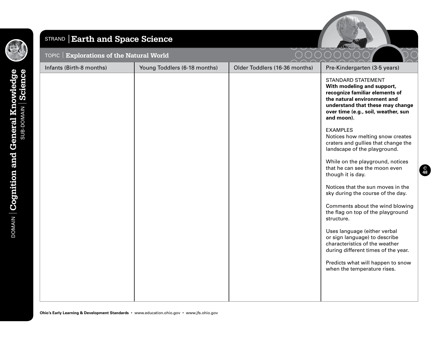

SUB-DOMAIN **Science**

DOMAIN **Cognition and General Knowledge**

# STRAND **Earth and Space Science**

| <b>Explorations of the Natural World</b><br>TOPIC |                              |                               |                                                                                                                                                                                                                   |
|---------------------------------------------------|------------------------------|-------------------------------|-------------------------------------------------------------------------------------------------------------------------------------------------------------------------------------------------------------------|
| Infants (Birth-8 months)                          | Young Toddlers (6-18 months) | Older Toddlers (16-36 months) | Pre-Kindergarten (3-5 years)                                                                                                                                                                                      |
|                                                   |                              |                               | <b>STANDARD STATEMENT</b><br>With modeling and support,<br>recognize familiar elements of<br>the natural environment and<br>understand that these may change<br>over time (e.g., soil, weather, sun<br>and moon). |
|                                                   |                              |                               | <b>EXAMPLES</b><br>Notices how melting snow creates<br>craters and gullies that change the<br>landscape of the playground.                                                                                        |
|                                                   |                              |                               | While on the playground, notices<br>that he can see the moon even<br>though it is day.                                                                                                                            |
|                                                   |                              |                               | Notices that the sun moves in the<br>sky during the course of the day.                                                                                                                                            |
|                                                   |                              |                               | Comments about the wind blowing<br>the flag on top of the playground<br>structure.                                                                                                                                |
|                                                   |                              |                               | Uses language (either verbal<br>or sign language) to describe<br>characteristics of the weather<br>during different times of the year.                                                                            |
|                                                   |                              |                               | Predicts what will happen to snow<br>when the temperature rises.                                                                                                                                                  |
|                                                   |                              |                               |                                                                                                                                                                                                                   |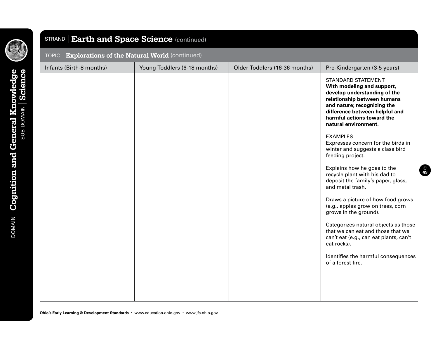

### STRAND **Earth and Space Science** (continued)

#### TOPIC **Explorations of the Natural World** (continued)

| Infants (Birth-8 months) | Young Toddlers (6-18 months) | Older Toddlers (16-36 months) | Pre-Kindergarten (3-5 years)                                                                                                                                                                                                                  |
|--------------------------|------------------------------|-------------------------------|-----------------------------------------------------------------------------------------------------------------------------------------------------------------------------------------------------------------------------------------------|
|                          |                              |                               | <b>STANDARD STATEMENT</b><br>With modeling and support,<br>develop understanding of the<br>relationship between humans<br>and nature; recognizing the<br>difference between helpful and<br>harmful actions toward the<br>natural environment. |
|                          |                              |                               | <b>EXAMPLES</b><br>Expresses concern for the birds in<br>winter and suggests a class bird<br>feeding project.                                                                                                                                 |
|                          |                              |                               | Explains how he goes to the<br>recycle plant with his dad to<br>deposit the family's paper, glass,<br>and metal trash.                                                                                                                        |
|                          |                              |                               | Draws a picture of how food grows<br>(e.g., apples grow on trees, corn<br>grows in the ground).                                                                                                                                               |
|                          |                              |                               | Categorizes natural objects as those<br>that we can eat and those that we<br>can't eat (e.g., can eat plants, can't<br>eat rocks).                                                                                                            |
|                          |                              |                               | Identifies the harmful consequences<br>of a forest fire.                                                                                                                                                                                      |
|                          |                              |                               |                                                                                                                                                                                                                                               |
|                          |                              |                               |                                                                                                                                                                                                                                               |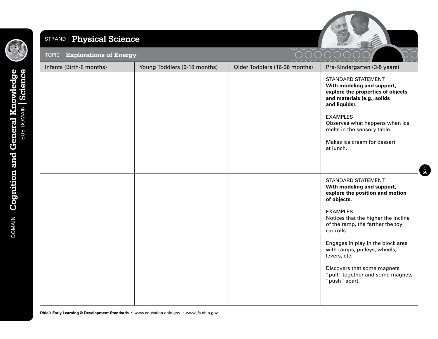

### STRAND **Physical Science**



 $\curvearrowright$ 

#### TOPIC **Explorations of Energy**

| Infants (Birth-8 months) | Young Toddlers (6-18 months) | Older Toddlers (16-36 months) | $\cap$ $\cap$ $\cap$<br>Pre-Kindergarten (3-5 years)                                                                                                                                                                                                                                                                                                                                           |
|--------------------------|------------------------------|-------------------------------|------------------------------------------------------------------------------------------------------------------------------------------------------------------------------------------------------------------------------------------------------------------------------------------------------------------------------------------------------------------------------------------------|
|                          |                              |                               | STANDARD STATEMENT<br>With modeling and support,<br>explore the properties of objects<br>and materials (e.g., solids<br>and liquids).<br><b>EXAMPLES</b><br>Observes what happens when ice<br>melts in the sensory table.<br>Makes ice cream for dessert<br>at lunch.                                                                                                                          |
|                          |                              |                               | <b>STANDARD STATEMENT</b><br>With modeling and support,<br>explore the position and motion<br>of objects.<br><b>EXAMPLES</b><br>Notices that the higher the incline<br>of the ramp, the farther the toy<br>car rolls.<br>Engages in play in the block area<br>with ramps, pulleys, wheels,<br>levers, etc.<br>Discovers that some magnets<br>"pull" together and some magnets<br>"push" apart. |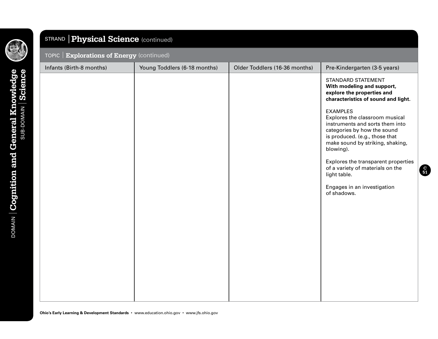

SUB-DOMAIN **Science**

DOMAIN **Cognition and General Knowledge**

# STRAND **Physical Science** (continued) TOPIC **Explorations of Energy** (continued) Infants (Birth-8 months) Young Toddlers (6-18 months) Older Toddlers (16-36 months) Pre-Kindergarten (3-5 years) STANDARD STATEMENT **With modeling and support, explore the properties and characteristics of sound and light.** EXAMPLES Explores the classroom musical instruments and sorts them into categories by how the sound is produced. (e.g., those that make sound by striking, shaking, blowing). Explores the transparent properties of a variety of materials on the light table. Engages in an investigation of shadows.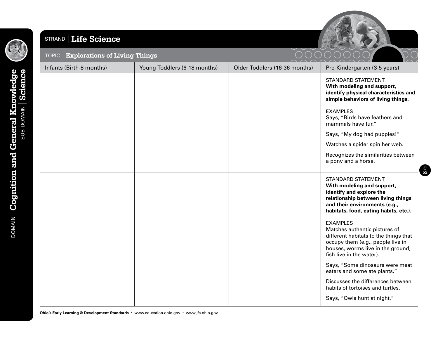

# STRAND **Life Science**



**C 52**

| <b>Explorations of Living Things</b><br>TOPIC |                              |                               | $\overline{\phantom{0}}$<br>$\overline{\phantom{0}}$<br>$\smile$                                                                                                                                    |
|-----------------------------------------------|------------------------------|-------------------------------|-----------------------------------------------------------------------------------------------------------------------------------------------------------------------------------------------------|
| Infants (Birth-8 months)                      | Young Toddlers (6-18 months) | Older Toddlers (16-36 months) | Pre-Kindergarten (3-5 years)                                                                                                                                                                        |
|                                               |                              |                               | <b>STANDARD STATEMENT</b><br>With modeling and support,<br>identify physical characteristics and<br>simple behaviors of living things.                                                              |
|                                               |                              |                               | <b>EXAMPLES</b><br>Says, "Birds have feathers and<br>mammals have fur."                                                                                                                             |
|                                               |                              |                               | Says, "My dog had puppies!"                                                                                                                                                                         |
|                                               |                              |                               | Watches a spider spin her web.                                                                                                                                                                      |
|                                               |                              |                               | Recognizes the similarities between<br>a pony and a horse.                                                                                                                                          |
|                                               |                              |                               | <b>STANDARD STATEMENT</b><br>With modeling and support,<br>identify and explore the<br>relationship between living things<br>and their environments (e.g.,<br>habitats, food, eating habits, etc.). |
|                                               |                              |                               | <b>EXAMPLES</b><br>Matches authentic pictures of<br>different habitats to the things that<br>occupy them (e.g., people live in<br>houses, worms live in the ground,<br>fish live in the water).     |
|                                               |                              |                               | Says, "Some dinosaurs were meat<br>eaters and some ate plants."                                                                                                                                     |
|                                               |                              |                               | Discusses the differences between<br>habits of tortoises and turtles.                                                                                                                               |
|                                               |                              |                               | Says, "Owls hunt at night."                                                                                                                                                                         |

**Ohio's Early Learning & Development Standards** • www.education.ohio.gov • www.jfs.ohio.gov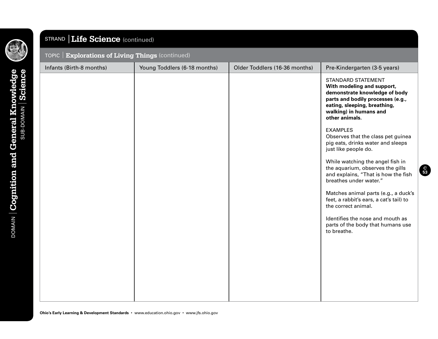

SUB-DOMAIN **Science**

DOMAIN **Cognition and General Knowledge**

# STRAND **Life Science** (continued)

#### TOPIC **Explorations of Living Things** (continued)

| Infants (Birth-8 months) | Young Toddlers (6-18 months) | Older Toddlers (16-36 months) | Pre-Kindergarten (3-5 years)                                                                                                                                                                              |
|--------------------------|------------------------------|-------------------------------|-----------------------------------------------------------------------------------------------------------------------------------------------------------------------------------------------------------|
|                          |                              |                               | <b>STANDARD STATEMENT</b><br>With modeling and support,<br>demonstrate knowledge of body<br>parts and bodily processes (e.g.,<br>eating, sleeping, breathing,<br>walking) in humans and<br>other animals. |
|                          |                              |                               | <b>EXAMPLES</b><br>Observes that the class pet guinea<br>pig eats, drinks water and sleeps<br>just like people do.                                                                                        |
|                          |                              |                               | While watching the angel fish in<br>the aquarium, observes the gills<br>and explains, "That is how the fish<br>breathes under water."                                                                     |
|                          |                              |                               | Matches animal parts (e.g., a duck's<br>feet, a rabbit's ears, a cat's tail) to<br>the correct animal.                                                                                                    |
|                          |                              |                               | Identifies the nose and mouth as<br>parts of the body that humans use<br>to breathe.                                                                                                                      |
|                          |                              |                               |                                                                                                                                                                                                           |
|                          |                              |                               |                                                                                                                                                                                                           |
|                          |                              |                               |                                                                                                                                                                                                           |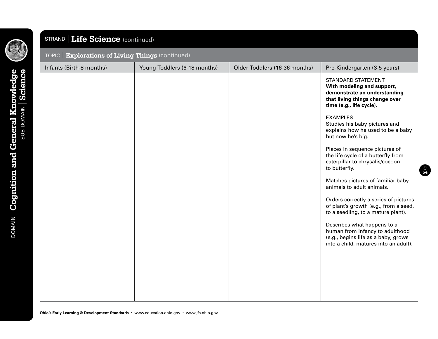

# STRAND **Life Science** (continued)

#### TOPIC **Explorations of Living Things** (continued)

| Infants (Birth-8 months) | Young Toddlers (6-18 months) | Older Toddlers (16-36 months) | Pre-Kindergarten (3-5 years)                                                                                                                          |
|--------------------------|------------------------------|-------------------------------|-------------------------------------------------------------------------------------------------------------------------------------------------------|
|                          |                              |                               | <b>STANDARD STATEMENT</b><br>With modeling and support,<br>demonstrate an understanding<br>that living things change over<br>time (e.g., life cycle). |
|                          |                              |                               | <b>EXAMPLES</b><br>Studies his baby pictures and<br>explains how he used to be a baby<br>but now he's big.                                            |
|                          |                              |                               | Places in sequence pictures of<br>the life cycle of a butterfly from<br>caterpillar to chrysalis/cocoon<br>to butterfly.                              |
|                          |                              |                               | Matches pictures of familiar baby<br>animals to adult animals.                                                                                        |
|                          |                              |                               | Orders correctly a series of pictures<br>of plant's growth (e.g., from a seed,<br>to a seedling, to a mature plant).                                  |
|                          |                              |                               | Describes what happens to a<br>human from infancy to adulthood<br>(e.g., begins life as a baby, grows<br>into a child, matures into an adult).        |
|                          |                              |                               |                                                                                                                                                       |
|                          |                              |                               |                                                                                                                                                       |
|                          |                              |                               |                                                                                                                                                       |